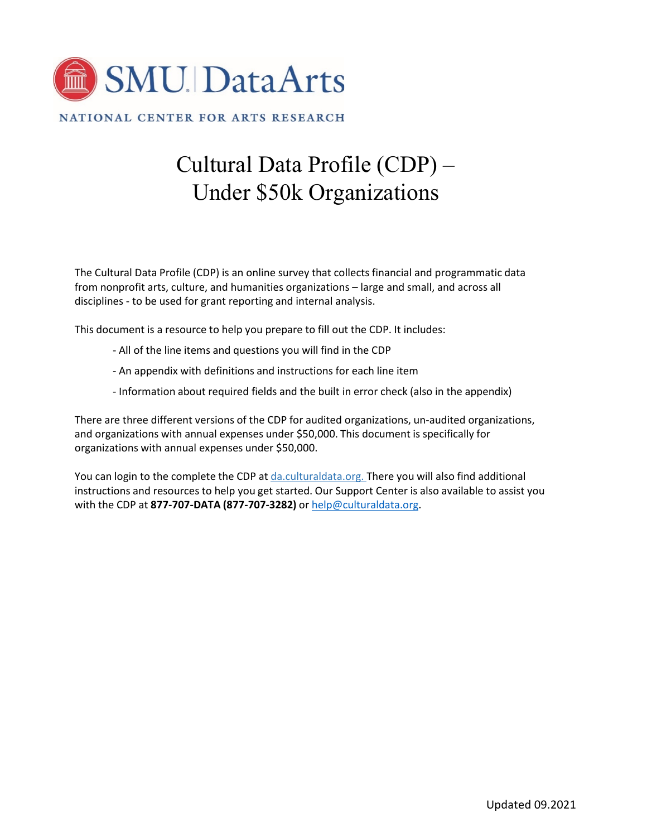

NATIONAL CENTER FOR ARTS RESEARCH

# Cultural Data Profile (CDP) – Under \$50k Organizations

The Cultural Data Profile (CDP) is an online survey that collects financial and programmatic data from nonprofit arts, culture, and humanities organizations – large and small, and across all disciplines - to be used for grant reporting and internal analysis.

This document is a resource to help you prepare to fill out the CDP. It includes:

- All of the line items and questions you will find in the CDP
- An appendix with definitions and instructions for each line item
- Information about required fields and the built in error check (also in the appendix)

There are three different versions of the CDP for audited organizations, un-audited organizations, and organizations with annual expenses under \$50,000. This document is specifically for organizations with annual expenses under \$50,000.

You can login to the complete the CDP at da.culturaldata.org. There you will also find additional instructions and resources to help you get started. Our Support Center is also available to assist you with the CDP at **877-707-DATA (877-707-3282)** or help@culturaldata.org.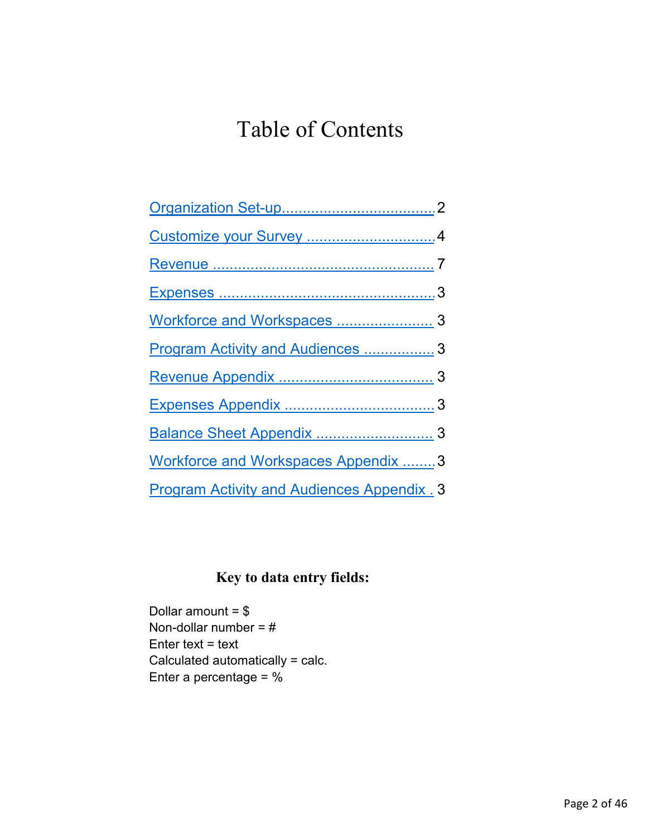# Table of Contents

| Program Activity and Audiences  3                  |  |
|----------------------------------------------------|--|
|                                                    |  |
|                                                    |  |
|                                                    |  |
| Workforce and Workspaces Appendix  3               |  |
| <b>Program Activity and Audiences Appendix . 3</b> |  |

# **Key to data entry fields:**

Dollar amount = \$ Non-dollar number = # Enter text  $=$  text Calculated automatically = calc. Enter a percentage = %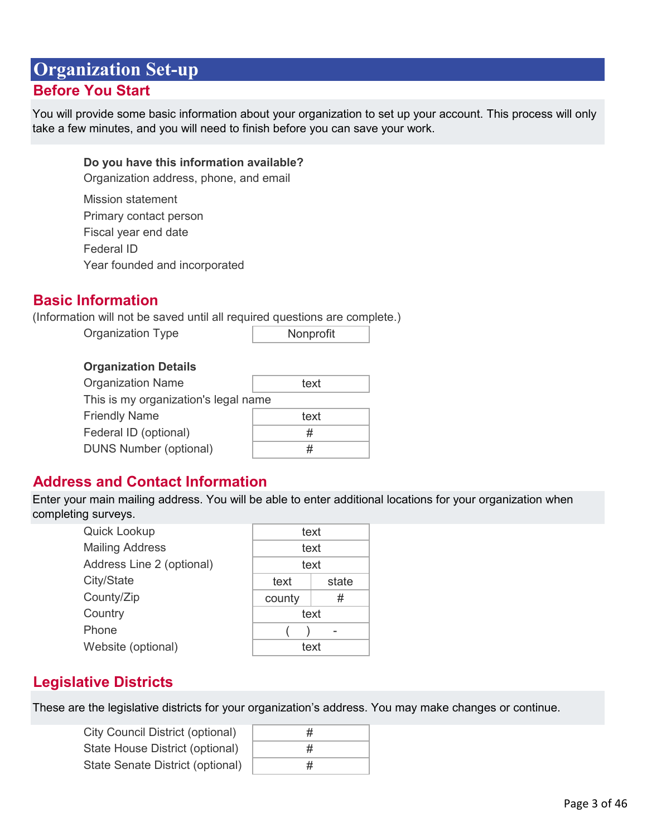# <span id="page-2-0"></span>**Organization Set-up Before You Start**

You will provide some basic information about your organization to set up your account. This process will only take a few minutes, and you will need to finish before you can save your work.

## **Do you have this information available?**

Organization address, phone, and email

| <b>Mission statement</b>      |
|-------------------------------|
| Primary contact person        |
| Fiscal year end date          |
| Federal ID                    |
| Year founded and incorporated |

# **Basic Information**

(Information will not be saved until all required questions are complete.)

Organization Type

Nonprofit

#### **Organization Details**

| <b>Organization Name</b>             | text |  |  |
|--------------------------------------|------|--|--|
| This is my organization's legal name |      |  |  |
| <b>Friendly Name</b>                 | text |  |  |
| Federal ID (optional)                | #    |  |  |
| <b>DUNS Number (optional)</b>        | #    |  |  |

# **Address and Contact Information**

Enter your main mailing address. You will be able to enter additional locations for your organization when completing surveys.

| Quick Lookup              | text   |       |
|---------------------------|--------|-------|
| <b>Mailing Address</b>    | text   |       |
| Address Line 2 (optional) | text   |       |
| City/State                | text   | state |
| County/Zip                | county | #     |
| Country                   | text   |       |
| Phone                     |        |       |
| Website (optional)        | text   |       |

# **Legislative Districts**

These are the legislative districts for your organization's address. You may make changes or continue.

| City Council District (optional) |
|----------------------------------|
| State House District (optional)  |
| State Senate District (optional) |

| # |  |
|---|--|
| # |  |
| # |  |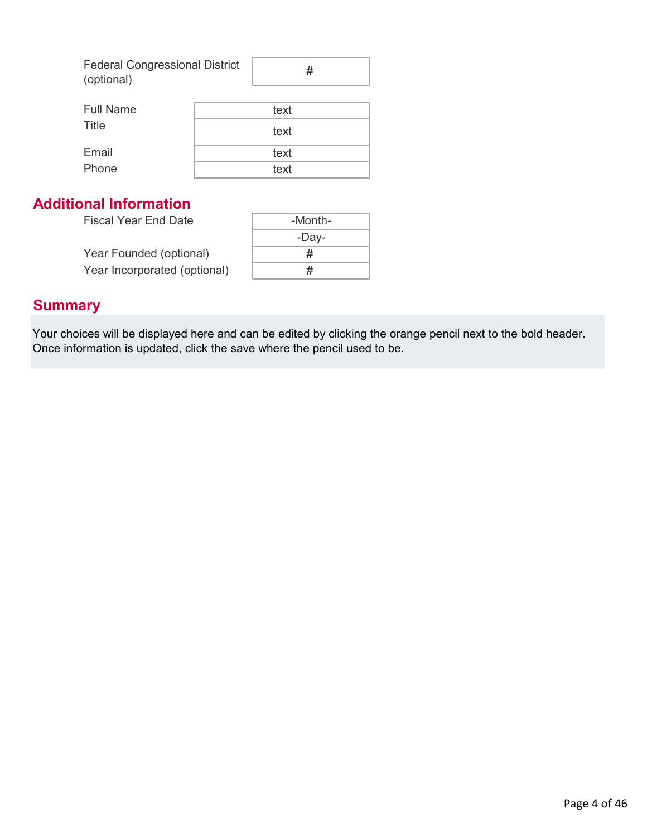| <b>Federal Congressional District</b> |  |
|---------------------------------------|--|
| (optional)                            |  |

| <b>Full Name</b> | text |
|------------------|------|
| Title            | text |
| Email            | text |
| Phone            | text |

# **Additional Information**

Fiscal Year End Date

|                              | -Dav- |
|------------------------------|-------|
| Year Founded (optional)      | #     |
| Year Incorporated (optional) | #     |

# **Summary**

Your choices will be displayed here and can be edited by clicking the orange pencil next to the bold header. Once information is updated, click the save where the pencil used to be.

-Month-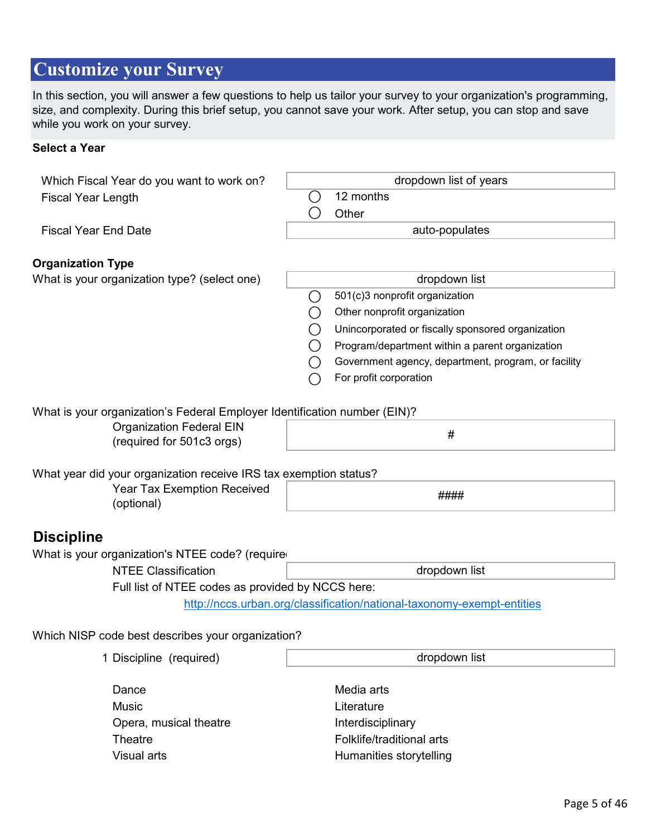# <span id="page-4-0"></span>**Customize your Survey**

In this section, you will answer a few questions to help us tailor your survey to your organization's programming, size, and complexity. During this brief setup, you cannot save your work. After setup, you can stop and save while you work on your survey.

# **Select a Year**

|                             | Which Fiscal Year do you want to work on?                                     |                        | dropdown list of years                                                 |
|-----------------------------|-------------------------------------------------------------------------------|------------------------|------------------------------------------------------------------------|
| <b>Fiscal Year Length</b>   |                                                                               | $\left(\ \right)$      | 12 months                                                              |
|                             |                                                                               | $\left( \quad \right)$ | Other                                                                  |
| <b>Fiscal Year End Date</b> |                                                                               |                        | auto-populates                                                         |
|                             |                                                                               |                        |                                                                        |
| <b>Organization Type</b>    |                                                                               |                        |                                                                        |
|                             | What is your organization type? (select one)                                  |                        | dropdown list                                                          |
|                             |                                                                               | ( )                    | 501(c)3 nonprofit organization                                         |
|                             |                                                                               |                        | Other nonprofit organization                                           |
|                             |                                                                               |                        | Unincorporated or fiscally sponsored organization                      |
|                             |                                                                               |                        | Program/department within a parent organization                        |
|                             |                                                                               |                        | Government agency, department, program, or facility                    |
|                             |                                                                               |                        | For profit corporation                                                 |
|                             |                                                                               |                        |                                                                        |
|                             | What is your organization's Federal Employer Identification number (EIN)?     |                        |                                                                        |
|                             | <b>Organization Federal EIN</b>                                               |                        | #                                                                      |
|                             | (required for 501c3 orgs)                                                     |                        |                                                                        |
|                             |                                                                               |                        |                                                                        |
|                             | What year did your organization receive IRS tax exemption status?             |                        |                                                                        |
|                             | <b>Year Tax Exemption Received</b><br>(optional)                              |                        | ####                                                                   |
|                             |                                                                               |                        |                                                                        |
| <b>Discipline</b>           |                                                                               |                        |                                                                        |
|                             |                                                                               |                        |                                                                        |
|                             | What is your organization's NTEE code? (require<br><b>NTEE Classification</b> |                        | dropdown list                                                          |
|                             |                                                                               |                        |                                                                        |
|                             | Full list of NTEE codes as provided by NCCS here:                             |                        | http://nccs.urban.org/classification/national-taxonomy-exempt-entities |
|                             |                                                                               |                        |                                                                        |
|                             | Which NISP code best describes your organization?                             |                        |                                                                        |
|                             |                                                                               |                        |                                                                        |
|                             | 1 Discipline (required)                                                       |                        | dropdown list                                                          |
|                             |                                                                               |                        |                                                                        |
|                             | Dance                                                                         |                        | Media arts                                                             |
|                             | <b>Music</b>                                                                  |                        | Literature                                                             |
|                             | Opera, musical theatre                                                        |                        | Interdisciplinary                                                      |
|                             | Theatre                                                                       |                        | Folklife/traditional arts                                              |
|                             | Visual arts                                                                   |                        | Humanities storytelling                                                |
|                             |                                                                               |                        |                                                                        |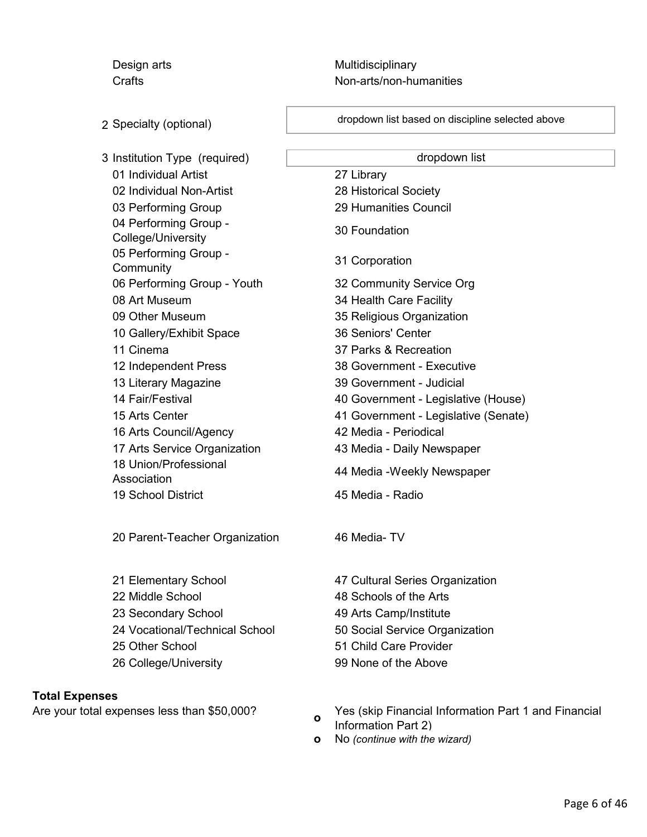Design arts **Multidisciplinary** Crafts Crafts **Non-arts/non-humanities** 

2 Specialty (optional)

3 Institution Type (required) 01 Individual Artist 27 Library 02 Individual Non-Artist 28 Historical Society 03 Performing Group 29 Humanities Council 04 Performing Group - Use Tendining Group - 30 Foundation<br>College/University 05 Performing Group ob Ferrorming Group - 31 Corporation<br>Community 06 Performing Group - Youth 32 Community Service Org 08 Art Museum 34 Health Care Facility 09 Other Museum 35 Religious Organization 10 Gallery/Exhibit Space 36 Seniors' Center 11 Cinema 37 Parks & Recreation 12 Independent Press 38 Government - Executive 13 Literary Magazine 39 Government - Judicial 16 Arts Council/Agency 42 Media - Periodical 17 Arts Service Organization 43 Media - Daily Newspaper 18 Union/Professional 19 School District 45 Media - Radio

20 Parent-Teacher Organization 46 Media- TV

22 Middle School 48 Schools of the Arts 23 Secondary School 49 Arts Camp/Institute 25 Other School 51 Child Care Provider 26 College/University 99 None of the Above

#### **Total Expenses**

Are your total expenses less than \$50,000?

dropdown list based on discipline selected above

dropdown list

14 Fair/Festival 40 Government - Legislative (House) 15 Arts Center 41 Government - Legislative (Senate) Association 10 Construction 44 Media - Weekly Newspaper 21 Elementary School 47 Cultural Series Organization 24 Vocational/Technical School 50 Social Service Organization

> **<sup>o</sup>** Yes (skip Financial Information Part 1 and Financial Information Part 2) **o** No *(continue with the wizard)*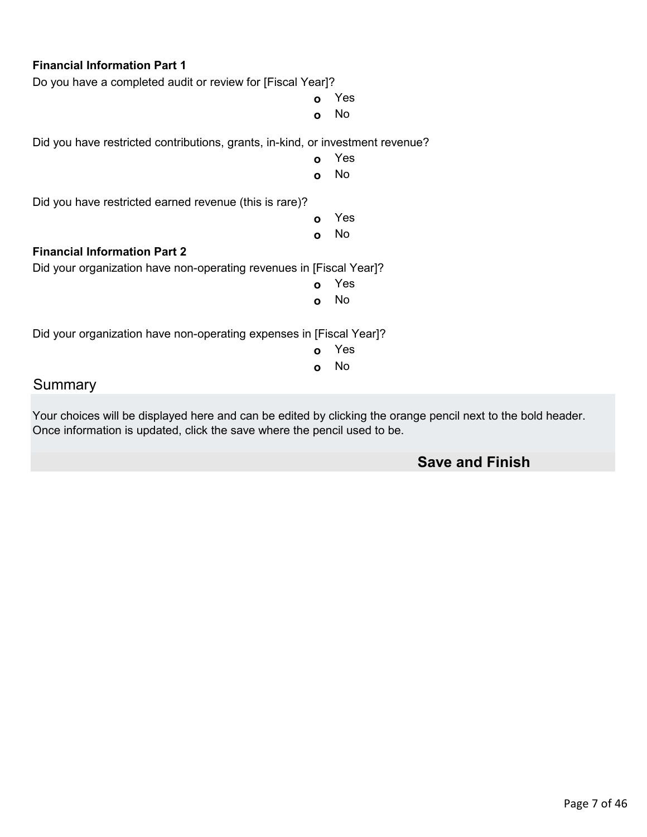| <b>Financial Information Part 1</b>                                            |     |  |  |
|--------------------------------------------------------------------------------|-----|--|--|
| Do you have a completed audit or review for [Fiscal Year]?                     |     |  |  |
| $\Omega$                                                                       | Yes |  |  |
| $\Omega$                                                                       | No  |  |  |
| Did you have restricted contributions, grants, in-kind, or investment revenue? |     |  |  |
| $\mathbf{o}$                                                                   | Yes |  |  |
| $\Omega$                                                                       | No  |  |  |
| Did you have restricted earned revenue (this is rare)?                         |     |  |  |
| $\mathbf{o}$                                                                   | Yes |  |  |
| $\Omega$                                                                       | No  |  |  |
| <b>Financial Information Part 2</b>                                            |     |  |  |
| Did your organization have non-operating revenues in [Fiscal Year]?            |     |  |  |
| $\Omega$                                                                       | Yes |  |  |
| $\mathbf{o}$                                                                   | No  |  |  |
| Did your organization have non-operating expenses in [Fiscal Year]?            |     |  |  |
| $\Omega$                                                                       | Yes |  |  |
| $\mathbf{o}$                                                                   | No  |  |  |
| Summary                                                                        |     |  |  |

Your choices will be displayed here and can be edited by clicking the orange pencil next to the bold header. Once information is updated, click the save where the pencil used to be.

# **Save and Finish**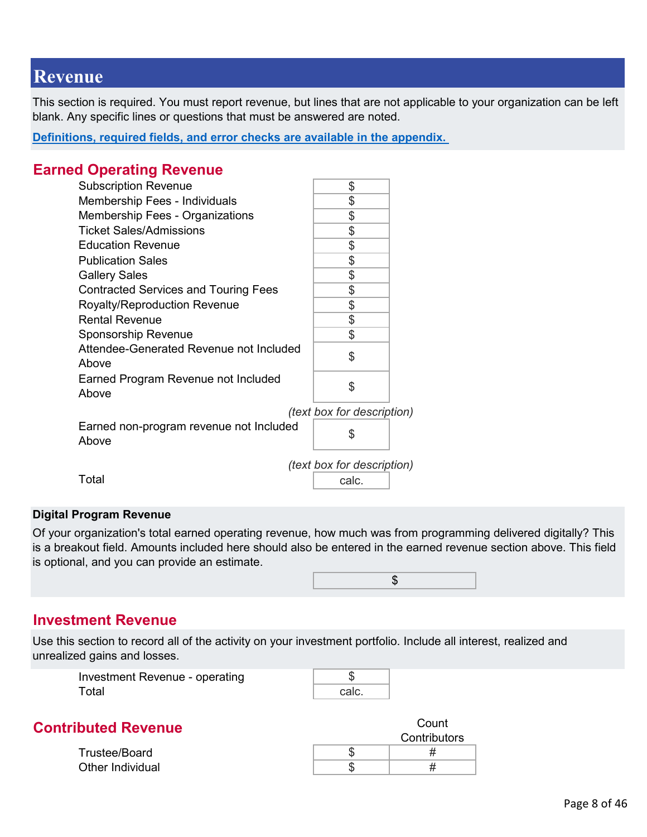# <span id="page-7-0"></span>**Revenue**

This section is required. You must report revenue, but lines that are not applicable to your organization can be left blank. Any specific lines or questions that must be answered are noted.

**[Definitions, required fields, and error checks are available in the appendix.](#page-19-0)** 

## **Earned Operating Revenue**

| <b>Subscription Revenue</b>                      | \$    |  |  |  |
|--------------------------------------------------|-------|--|--|--|
| Membership Fees - Individuals                    | \$    |  |  |  |
| <b>Membership Fees - Organizations</b>           | \$    |  |  |  |
| <b>Ticket Sales/Admissions</b>                   | \$    |  |  |  |
| <b>Education Revenue</b>                         | \$    |  |  |  |
| <b>Publication Sales</b>                         | \$    |  |  |  |
| <b>Gallery Sales</b>                             | \$    |  |  |  |
| <b>Contracted Services and Touring Fees</b>      | \$    |  |  |  |
| <b>Royalty/Reproduction Revenue</b>              | \$    |  |  |  |
| <b>Rental Revenue</b>                            | \$    |  |  |  |
| <b>Sponsorship Revenue</b>                       | \$    |  |  |  |
| Attendee-Generated Revenue not Included<br>Above | \$    |  |  |  |
| Earned Program Revenue not Included<br>Above     | \$    |  |  |  |
| (text box for description)                       |       |  |  |  |
| Earned non-program revenue not Included<br>Above | \$    |  |  |  |
| (text box for description)                       |       |  |  |  |
| Total                                            | calc. |  |  |  |
|                                                  |       |  |  |  |

#### **Digital Program Revenue**

Of your organization's total earned operating revenue, how much was from programming delivered digitally? This is a breakout field. Amounts included here should also be entered in the earned revenue section above. This field is optional, and you can provide an estimate.



#### **Investment Revenue**

Use this section to record all of the activity on your investment portfolio. Include all interest, realized and unrealized gains and losses.

| Investment Revenue - operating |       |  |
|--------------------------------|-------|--|
| Total                          | calc. |  |

# **Contributed Revenue Count**

Trustee/Board Other Individual

|  | <br>Contributors |
|--|------------------|
|  |                  |
|  |                  |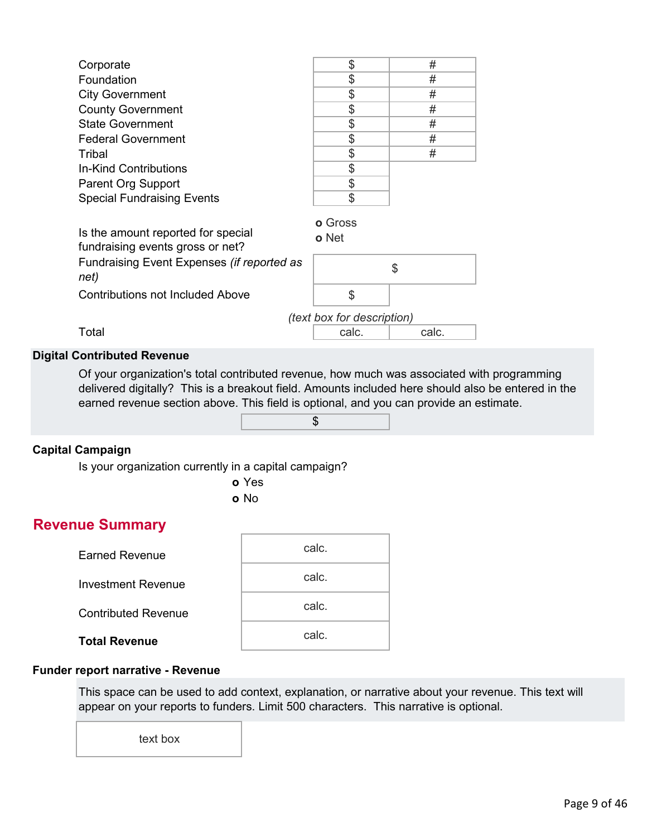| Corporate                                          | \$             | #  |
|----------------------------------------------------|----------------|----|
| Foundation                                         | \$             | #  |
| <b>City Government</b>                             | \$             | #  |
| <b>County Government</b>                           | \$             | #  |
| <b>State Government</b>                            | \$             | #  |
| <b>Federal Government</b>                          | \$             | #  |
| Tribal                                             | \$             | #  |
| In-Kind Contributions                              | \$             |    |
| <b>Parent Org Support</b>                          | \$             |    |
| <b>Special Fundraising Events</b>                  | \$             |    |
|                                                    | <b>o</b> Gross |    |
| Is the amount reported for special                 | <b>o</b> Net   |    |
| fundraising events gross or net?                   |                |    |
| Fundraising Event Expenses (if reported as<br>net) |                | \$ |
| Contributions not Included Above                   | \$             |    |
| (text box for description)                         |                |    |

Total calc. I calc. Calc.

#### **Digital Contributed Revenue**

Of your organization's total contributed revenue, how much was associated with programming delivered digitally? This is a breakout field. Amounts included here should also be entered in the earned revenue section above. This field is optional, and you can provide an estimate.



#### **Capital Campaign**

Is your organization currently in a capital campaign?

**o** Yes **o** No

# **Revenue Summary**

| <b>Earned Revenue</b>      | calc. |
|----------------------------|-------|
| <b>Investment Revenue</b>  | calc. |
| <b>Contributed Revenue</b> | calc. |
| <b>Total Revenue</b>       | calc. |

#### **Funder report narrative - Revenue**

This space can be used to add context, explanation, or narrative about your revenue. This text will appear on your reports to funders. Limit 500 characters. This narrative is optional.

text box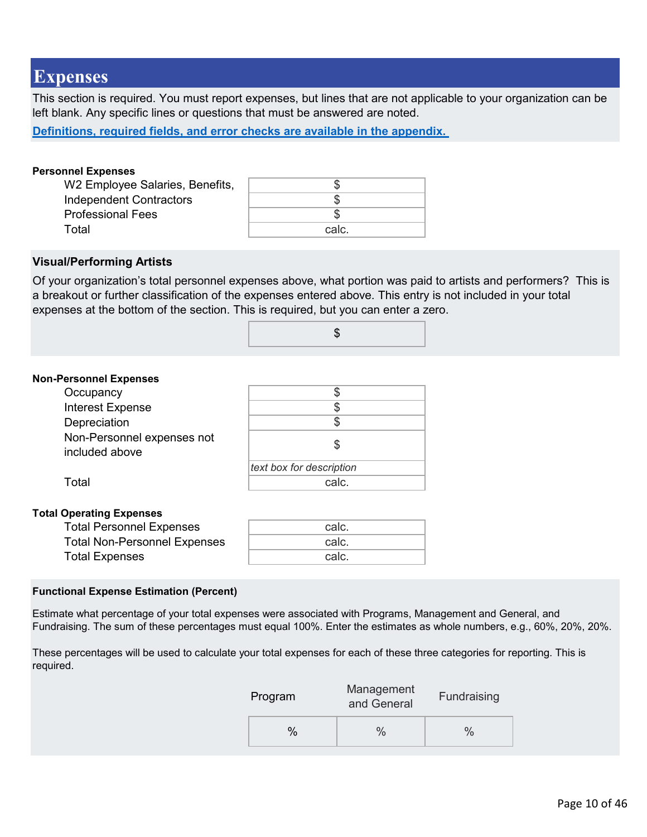# <span id="page-9-0"></span>**Expenses**

This section is required. You must report expenses, but lines that are not applicable to your organization can be left blank. Any specific lines or questions that must be answered are noted.

**[Definitions, required fields, and error checks are available in the appendix.](#page-25-0)** 

#### **Personnel Expenses**

| W2 Employee Salaries, Benefits, |       |
|---------------------------------|-------|
| <b>Independent Contractors</b>  |       |
| <b>Professional Fees</b>        |       |
| Total                           | calc. |

#### **Visual/Performing Artists**

Of your organization's total personnel expenses above, what portion was paid to artists and performers? This is a breakout or further classification of the expenses entered above. This entry is not included in your total expenses at the bottom of the section. This is required, but you can enter a zero.

| ۰U |
|----|
|    |

#### **Non-Personnel Expenses**

| Occupancy                                    |                          |
|----------------------------------------------|--------------------------|
| <b>Interest Expense</b>                      |                          |
| Depreciation                                 |                          |
| Non-Personnel expenses not<br>included above |                          |
|                                              | text box for description |
| Total                                        | calc.                    |
|                                              |                          |

# **Total Operating Expenses**

| <b>Total Personnel Expenses</b>     | calc. |
|-------------------------------------|-------|
| <b>Total Non-Personnel Expenses</b> | calc. |
| <b>Total Expenses</b>               | calc. |
|                                     |       |

#### **Functional Expense Estimation (Percent)**

Estimate what percentage of your total expenses were associated with Programs, Management and General, and Fundraising. The sum of these percentages must equal 100%. Enter the estimates as whole numbers, e.g., 60%, 20%, 20%.

These percentages will be used to calculate your total expenses for each of these three categories for reporting. This is required.

| Program | Management<br>and General | Fundraising |
|---------|---------------------------|-------------|
|         |                           |             |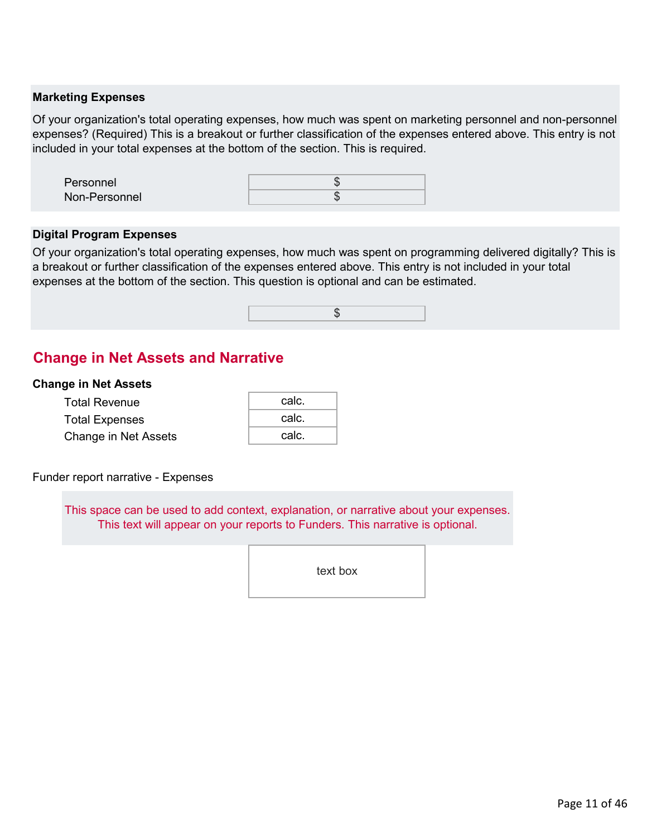#### **Marketing Expenses**

Of your organization's total operating expenses, how much was spent on marketing personnel and non-personnel expenses? (Required) This is a breakout or further classification of the expenses entered above. This entry is not included in your total expenses at the bottom of the section. This is required.

| Personnel     |  |
|---------------|--|
| Non-Personnel |  |
|               |  |

#### **Digital Program Expenses**

Of your organization's total operating expenses, how much was spent on programming delivered digitally? This is a breakout or further classification of the expenses entered above. This entry is not included in your total expenses at the bottom of the section. This question is optional and can be estimated.



# **Change in Net Assets and Narrative**

#### **Change in Net Assets**

| <b>Total Revenue</b>  | calc. |
|-----------------------|-------|
| <b>Total Expenses</b> | calc. |
| Change in Net Assets  | calc. |

#### Funder report narrative - Expenses

This space can be used to add context, explanation, or narrative about your expenses. This text will appear on your reports to Funders. This narrative is optional.

text box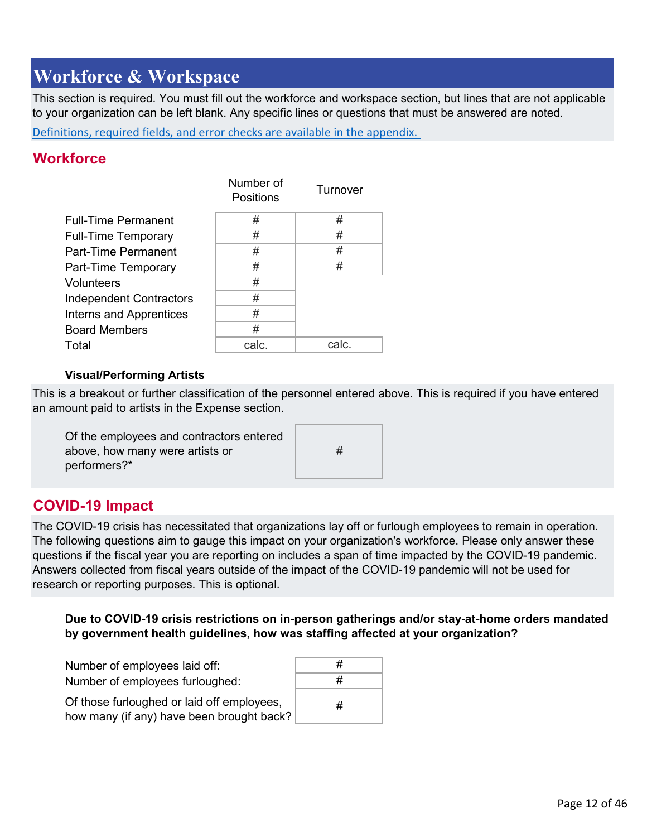# <span id="page-11-0"></span>**Workforce & Workspace**

This section is required. You must fill out the workforce and workspace section, but lines that are not applicable to your organization can be left blank. Any specific lines or questions that must be answered are noted.

Definitions, required fields, and error checks are available in the appendix.

## **Workforce**

|                                | Number of<br>Positions | Turnover |
|--------------------------------|------------------------|----------|
| <b>Full-Time Permanent</b>     | #                      | #        |
| <b>Full-Time Temporary</b>     | #                      | #        |
| <b>Part-Time Permanent</b>     | #                      | #        |
| Part-Time Temporary            | #                      | #        |
| <b>Volunteers</b>              | #                      |          |
| <b>Independent Contractors</b> | #                      |          |
| <b>Interns and Apprentices</b> | #                      |          |
| <b>Board Members</b>           | #                      |          |
| Total                          | calc.                  | calc.    |

#### **Visual/Performing Artists**

This is a breakout or further classification of the personnel entered above. This is required if you have entered an amount paid to artists in the Expense section.

#

| Of the employees and contractors entered |  |
|------------------------------------------|--|
| above, how many were artists or          |  |
| performers?*                             |  |

# **COVID-19 Impact**

The COVID-19 crisis has necessitated that organizations lay off or furlough employees to remain in operation. The following questions aim to gauge this impact on your organization's workforce. Please only answer these questions if the fiscal year you are reporting on includes a span of time impacted by the COVID-19 pandemic. Answers collected from fiscal years outside of the impact of the COVID-19 pandemic will not be used for research or reporting purposes. This is optional.

#### **Due to COVID-19 crisis restrictions on in-person gatherings and/or stay-at-home orders mandated by government health guidelines, how was staffing affected at your organization?**

| Number of employees laid off:                                                           | # |
|-----------------------------------------------------------------------------------------|---|
| Number of employees furloughed:                                                         | # |
| Of those furloughed or laid off employees,<br>how many (if any) have been brought back? | # |
|                                                                                         |   |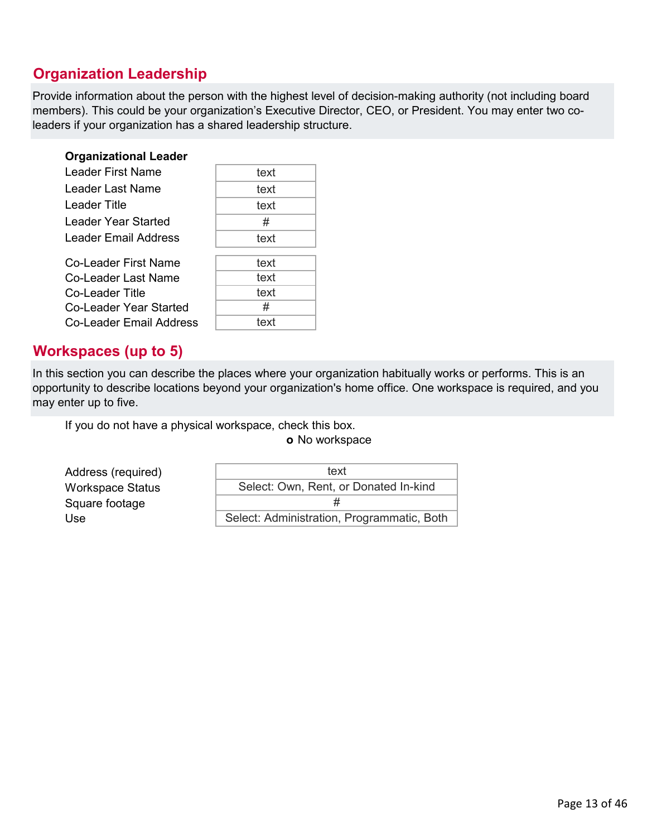# **Organization Leadership**

Provide information about the person with the highest level of decision-making authority (not including board members). This could be your organization's Executive Director, CEO, or President. You may enter two coleaders if your organization has a shared leadership structure.

| <b>Organizational Leader</b> |      |
|------------------------------|------|
| Leader First Name            | text |
| Leader Last Name             | text |
| Leader Title                 | text |
| Leader Year Started          | #    |
| Leader Email Address         | text |
| Co-Leader First Name         | text |
| Co-Leader Last Name          | text |
| Co-Leader Title              | text |
| Co-Leader Year Started       | #    |
| Co-Leader Email Address      | text |

# **Workspaces (up to 5)**

In this section you can describe the places where your organization habitually works or performs. This is an opportunity to describe locations beyond your organization's home office. One workspace is required, and you may enter up to five.

If you do not have a physical workspace, check this box.



#### **o** No workspace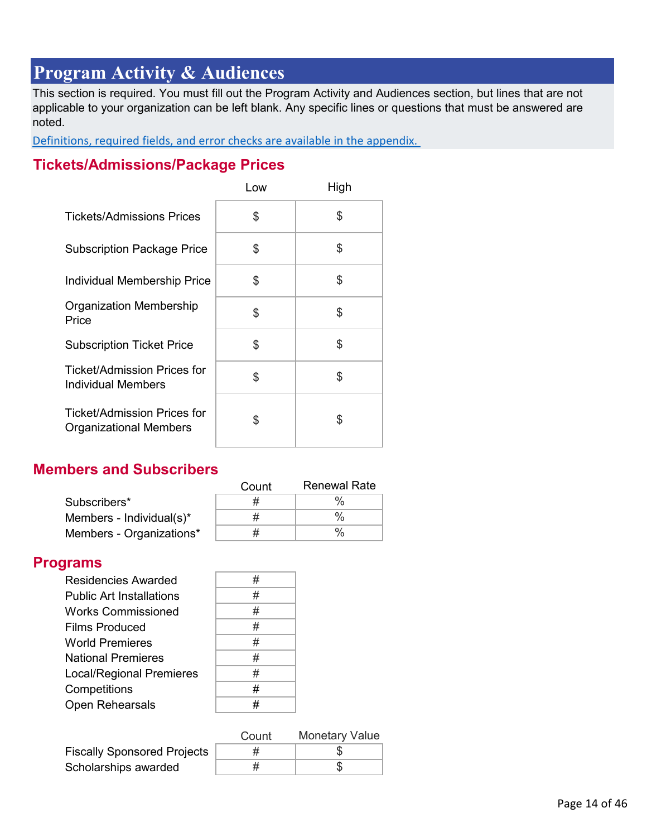# <span id="page-13-0"></span>**Program Activity & Audiences**

This section is required. You must fill out the Program Activity and Audiences section, but lines that are not applicable to your organization can be left blank. Any specific lines or questions that must be answered are noted.

Definitions, required fields, and error checks are available in the appendix.

# **Tickets/Admissions/Package Prices**

|                                                              | Low | High |
|--------------------------------------------------------------|-----|------|
| <b>Tickets/Admissions Prices</b>                             | \$  | \$   |
| <b>Subscription Package Price</b>                            | \$  | \$   |
| Individual Membership Price                                  | \$  | \$   |
| Organization Membership<br>Price                             | \$  | \$   |
| <b>Subscription Ticket Price</b>                             | \$  | \$   |
| <b>Ticket/Admission Prices for</b><br>Individual Members     | \$  | \$   |
| Ticket/Admission Prices for<br><b>Organizational Members</b> | \$  | \$   |

# **Members and Subscribers**

|                          | Count | <b>Renewal Rate</b> |
|--------------------------|-------|---------------------|
| Subscribers*             |       |                     |
| Members - Individual(s)* |       |                     |
| Members - Organizations* |       | $\frac{0}{0}$       |

# **Programs**

| <b>Residencies Awarded</b>      | # |
|---------------------------------|---|
| <b>Public Art Installations</b> | # |
| <b>Works Commissioned</b>       | # |
| <b>Films Produced</b>           | # |
| <b>World Premieres</b>          | # |
| <b>National Premieres</b>       | # |
| <b>Local/Regional Premieres</b> | # |
| Competitions                    | # |
| Open Rehearsals                 | # |

| $\#$ |
|------|
| $\#$ |
| #    |
| #    |
| #    |
| #    |
| #    |
| #    |
| $\#$ |

|                                    | Count | <b>Monetary Value</b> |
|------------------------------------|-------|-----------------------|
| <b>Fiscally Sponsored Projects</b> |       |                       |
| Scholarships awarded               |       |                       |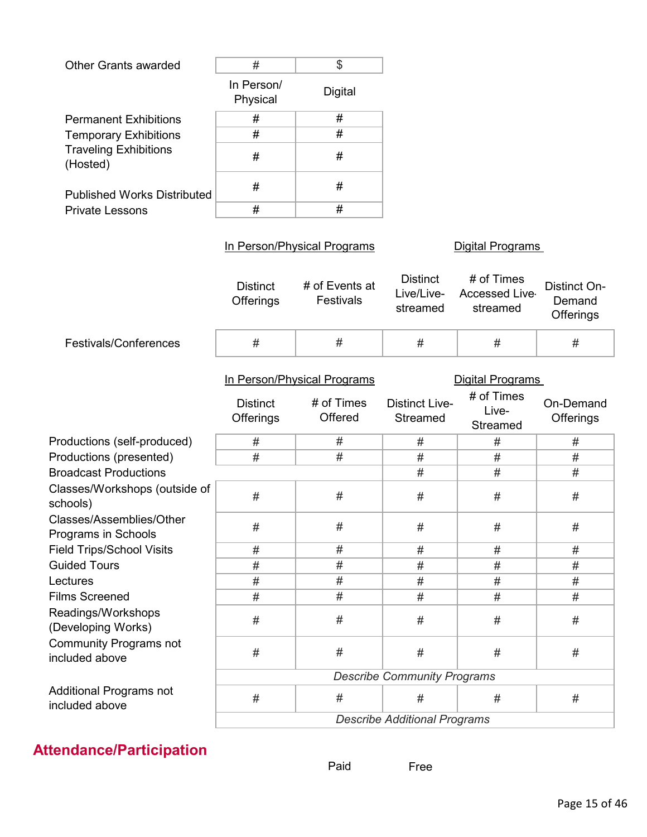| <b>Other Grants awarded</b>                     | $\#$                                | \$                                                   |                                           |                                                                   |                                     |
|-------------------------------------------------|-------------------------------------|------------------------------------------------------|-------------------------------------------|-------------------------------------------------------------------|-------------------------------------|
|                                                 | In Person/<br>Physical              | <b>Digital</b>                                       |                                           |                                                                   |                                     |
| <b>Permanent Exhibitions</b>                    | #                                   | #                                                    |                                           |                                                                   |                                     |
| <b>Temporary Exhibitions</b>                    | #                                   | #                                                    |                                           |                                                                   |                                     |
| <b>Traveling Exhibitions</b><br>(Hosted)        | $\#$                                | #                                                    |                                           |                                                                   |                                     |
| <b>Published Works Distributed</b>              | $\#$                                | $\#$                                                 |                                           |                                                                   |                                     |
| <b>Private Lessons</b>                          | #                                   | #                                                    |                                           |                                                                   |                                     |
|                                                 |                                     | In Person/Physical Programs                          |                                           | <b>Digital Programs</b>                                           |                                     |
|                                                 | <b>Distinct</b><br><b>Offerings</b> | # of Events at<br>Festivals                          | <b>Distinct</b><br>Live/Live-<br>streamed | # of Times<br><b>Accessed Live</b><br>streamed                    | Distinct On-<br>Demand<br>Offerings |
| Festivals/Conferences                           | $\#$                                | #                                                    | #                                         | #                                                                 | #                                   |
|                                                 | <b>Distinct</b><br>Offerings        | In Person/Physical Programs<br># of Times<br>Offered | <b>Distinct Live-</b><br>Streamed         | <b>Digital Programs</b><br># of Times<br>Live-<br><b>Streamed</b> | On-Demand<br><b>Offerings</b>       |
| Productions (self-produced)                     | #                                   | #                                                    | $\#$                                      | $\#$                                                              | #                                   |
| Productions (presented)                         | #                                   | #                                                    | #                                         | $\#$                                                              | #                                   |
| <b>Broadcast Productions</b>                    |                                     |                                                      | #                                         | #                                                                 | #                                   |
| Classes/Workshops (outside of<br>schools)       | $\#$                                | #                                                    | #                                         | $\#$                                                              | #                                   |
| Classes/Assemblies/Other<br>Programs in Schools | #                                   | #                                                    | $\#$                                      | $\#$                                                              | $\#$                                |
| <b>Field Trips/School Visits</b>                | #                                   | #                                                    | $\#$                                      | $\#$                                                              | #                                   |
| <b>Guided Tours</b>                             | #                                   | #                                                    | $\#$                                      | $\#$                                                              | $\#$                                |
| Lectures                                        | $\#$                                | #                                                    | #                                         | #                                                                 | #                                   |
| <b>Films Screened</b>                           | #                                   | #                                                    | #                                         | #                                                                 | #                                   |
| Readings/Workshops<br>(Developing Works)        | $\#$                                | $\#$                                                 | #                                         | #                                                                 | #                                   |
| <b>Community Programs not</b><br>included above | $\#$                                | $\#$                                                 | $\#$                                      | #                                                                 | #                                   |
|                                                 |                                     |                                                      | <b>Describe Community Programs</b>        |                                                                   |                                     |
| Additional Programs not<br>included above       | $\#$                                | $\#$                                                 | #                                         | #                                                                 | $\#$                                |
|                                                 |                                     |                                                      | <b>Describe Additional Programs</b>       |                                                                   |                                     |

# **Attendance/Participation**

Free Paid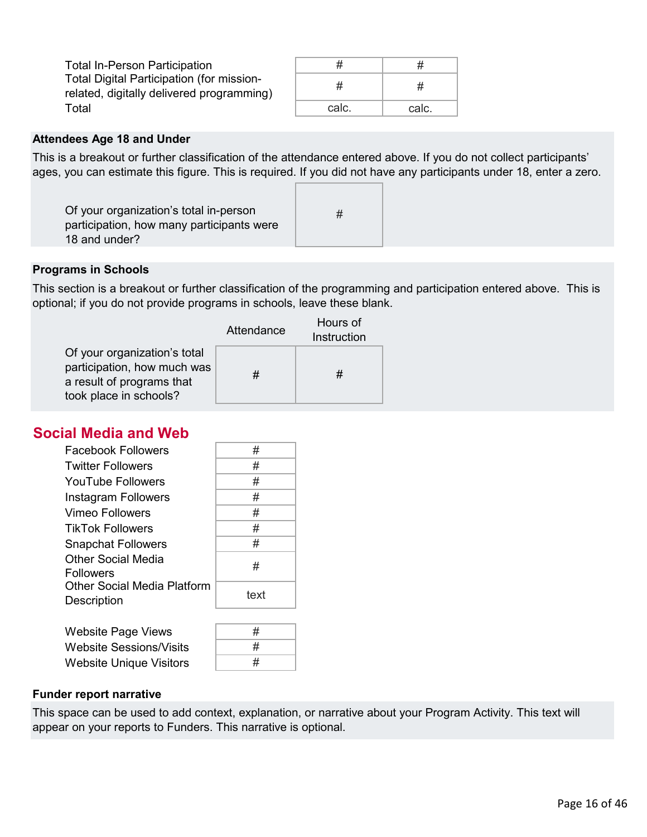| <b>Total In-Person Participation</b>                                                   | #     | #     |
|----------------------------------------------------------------------------------------|-------|-------|
| Total Digital Participation (for mission-<br>related, digitally delivered programming) | #     | #     |
| Total                                                                                  | calc. | calc. |

#### **Attendees Age 18 and Under**

This is a breakout or further classification of the attendance entered above. If you do not collect participants' ages, you can estimate this figure. This is required. If you did not have any participants under 18, enter a zero.

| Of your organization's total in-person<br>participation, how many participants were |  |
|-------------------------------------------------------------------------------------|--|
| 18 and under?                                                                       |  |

#### **Programs in Schools**

This section is a breakout or further classification of the programming and participation entered above. This is optional; if you do not provide programs in schools, leave these blank.

|                                                                                                                    | Attendance | Hours of<br>Instruction |
|--------------------------------------------------------------------------------------------------------------------|------------|-------------------------|
| Of your organization's total<br>participation, how much was<br>a result of programs that<br>took place in schools? | #          | #                       |

# **Social Media and Web**

| <b>Facebook Followers</b>                         | #    |
|---------------------------------------------------|------|
| <b>Twitter Followers</b>                          | #    |
| YouTube Followers                                 | #    |
| Instagram Followers                               | #    |
| Vimeo Followers                                   | #    |
| <b>TikTok Followers</b>                           | #    |
| <b>Snapchat Followers</b>                         | #    |
| <b>Other Social Media</b><br><b>Followers</b>     | #    |
| <b>Other Social Media Platform</b><br>Description | text |
|                                                   |      |

| <b>Website Page Views</b>      | # |
|--------------------------------|---|
| Website Sessions/Visits        | # |
| <b>Website Unique Visitors</b> | # |

#### **Funder report narrative**

This space can be used to add context, explanation, or narrative about your Program Activity. This text will appear on your reports to Funders. This narrative is optional.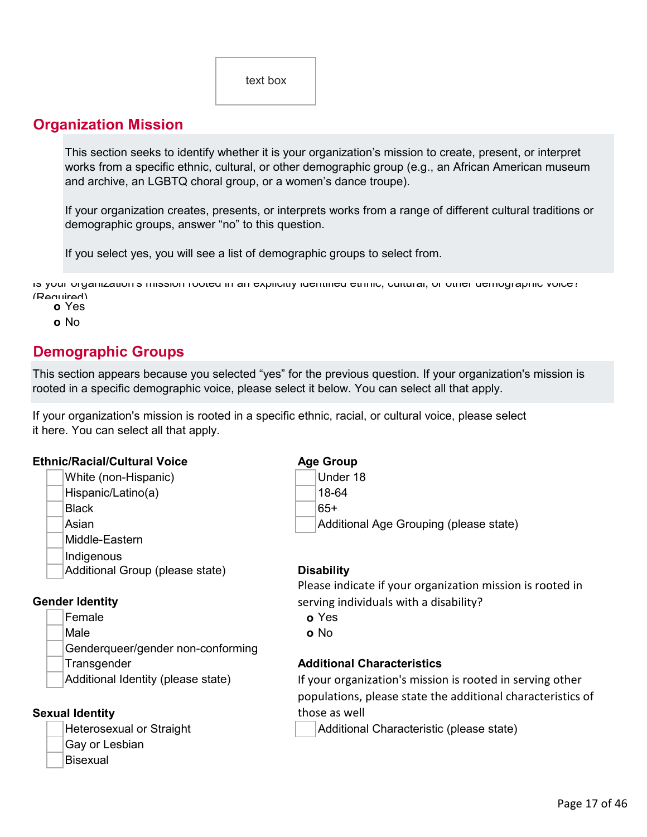# **Organization Mission**

This section seeks to identify whether it is your organization's mission to create, present, or interpret works from a specific ethnic, cultural, or other demographic group (e.g., an African American museum and archive, an LGBTQ choral group, or a women's dance troupe).

If your organization creates, presents, or interprets works from a range of different cultural traditions or demographic groups, answer "no" to this question.

If you select yes, you will see a list of demographic groups to select from.

Is your organization s mission rooted in an explicitly identified ethnic, cultural, or other demographic voice? (Required)

**o** Yes

**o** No

# **Demographic Groups**

This section appears because you selected "yes" for the previous question. If your organization's mission is rooted in a specific demographic voice, please select it below. You can select all that apply.

If your organization's mission is rooted in a specific ethnic, racial, or cultural voice, please select it here. You can select all that apply.

#### **Ethnic/Racial/Cultural Voice Age Group**

White (non-Hispanic) Metal Controller 18 Hispanic/Latino(a) 18-64 Black 65+ Middle-Eastern Indigenous Additional Group (please state) **Disability**

#### **Gender Identity**

Female **o** Yes Male **o** No Genderqueer/gender non-conforming Transgender **Additional Characteristics** Additional Identity (please state)

#### **Sexual Identity**

- Gay or Lesbian
- **Bisexual**

Asian Asian Additional Age Grouping (please state)

Please indicate if your organization mission is rooted in serving individuals with a disability?

- 
- 

If your organization's mission is rooted in serving other populations, please state the additional characteristics of those as well

Heterosexual or Straight Additional Characteristic (please state)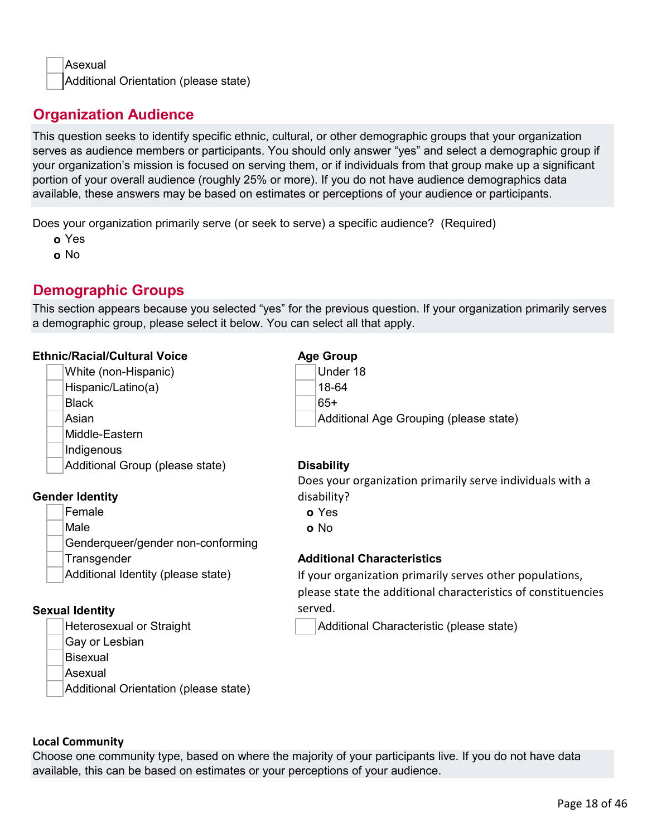Asexual Additional Orientation (please state)

# **Organization Audience**

This question seeks to identify specific ethnic, cultural, or other demographic groups that your organization serves as audience members or participants. You should only answer "yes" and select a demographic group if your organization's mission is focused on serving them, or if individuals from that group make up a significant portion of your overall audience (roughly 25% or more). If you do not have audience demographics data available, these answers may be based on estimates or perceptions of your audience or participants.

Does your organization primarily serve (or seek to serve) a specific audience? (Required)

- **o** Yes
- **o** No

# **Demographic Groups**

This section appears because you selected "yes" for the previous question. If your organization primarily serves a demographic group, please select it below. You can select all that apply.

#### **Ethnic/Racial/Cultural Voice Age Age Group**

|                                    | www.car                                                       |
|------------------------------------|---------------------------------------------------------------|
| White (non-Hispanic)               | Under 18                                                      |
| Hispanic/Latino(a)                 | 18-64                                                         |
| <b>Black</b>                       | 65+                                                           |
| Asian                              | Additional Age Grouping (please state)                        |
| Middle-Eastern                     |                                                               |
| Indigenous                         |                                                               |
| Additional Group (please state)    | <b>Disability</b>                                             |
|                                    | Does your organization primarily serve individuals with a     |
| <b>Gender Identity</b>             | disability?                                                   |
| Female                             | o Yes                                                         |
| Male                               | o No                                                          |
| Genderqueer/gender non-conforming  |                                                               |
| Transgender                        | <b>Additional Characteristics</b>                             |
| Additional Identity (please state) | If your organization primarily serves other populations,      |
|                                    | please state the additional characteristics of constituencies |
| <b>Sexual Identity</b>             | served.                                                       |
|                                    |                                                               |

Heterosexual or Straight Additional Characteristic (please state)

- Gay or Lesbian
- **Bisexual**
- Asexual
	- Additional Orientation (please state)

#### **Local Community**

Choose one community type, based on where the majority of your participants live. If you do not have data available, this can be based on estimates or your perceptions of your audience.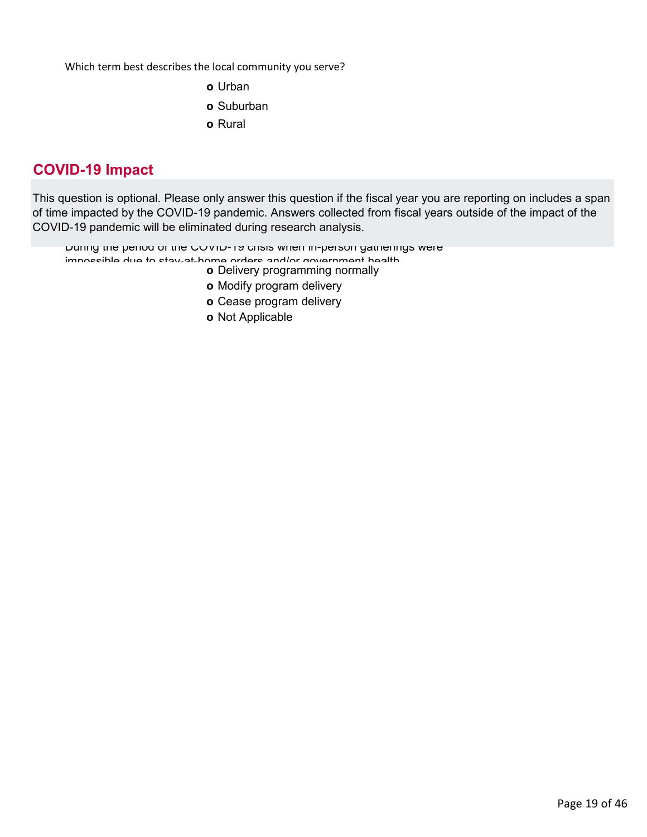Which term best describes the local community you serve?

- **o** Urban
- **o** Suburban
- **o** Rural

# **COVID-19 Impact**

This question is optional. Please only answer this question if the fiscal year you are reporting on includes a span of time impacted by the COVID-19 pandemic. Answers collected from fiscal years outside of the impact of the COVID-19 pandemic will be eliminated during research analysis.

During the period of the COVID-19 crisis when in-person gatherings were

- impossible due to stay-at-home orders and/or government health
	- **o** Delivery programming normally
	- **o** Modify program delivery
	- **o** Cease program delivery
	- **o** Not Applicable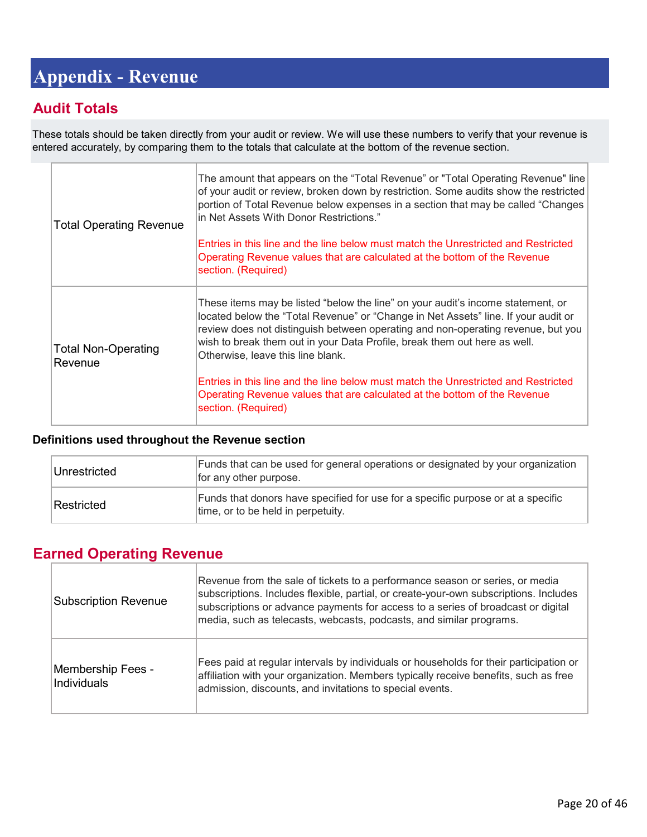# <span id="page-19-0"></span>**Appendix - Revenue**

# **Audit Totals**

These totals should be taken directly from your audit or review. We will use these numbers to verify that your revenue is entered accurately, by comparing them to the totals that calculate at the bottom of the revenue section.

| <b>Total Operating Revenue</b>        | The amount that appears on the "Total Revenue" or "Total Operating Revenue" line<br>of your audit or review, broken down by restriction. Some audits show the restricted<br>portion of Total Revenue below expenses in a section that may be called "Changes"<br>in Net Assets With Donor Restrictions."<br>Entries in this line and the line below must match the Unrestricted and Restricted<br>Operating Revenue values that are calculated at the bottom of the Revenue<br>section. (Required)                                                                    |
|---------------------------------------|-----------------------------------------------------------------------------------------------------------------------------------------------------------------------------------------------------------------------------------------------------------------------------------------------------------------------------------------------------------------------------------------------------------------------------------------------------------------------------------------------------------------------------------------------------------------------|
| <b>Total Non-Operating</b><br>Revenue | These items may be listed "below the line" on your audit's income statement, or<br>located below the "Total Revenue" or "Change in Net Assets" line. If your audit or<br>review does not distinguish between operating and non-operating revenue, but you<br>wish to break them out in your Data Profile, break them out here as well.<br>Otherwise, leave this line blank.<br>Entries in this line and the line below must match the Unrestricted and Restricted<br>Operating Revenue values that are calculated at the bottom of the Revenue<br>section. (Required) |

#### **Definitions used throughout the Revenue section**

| Unrestricted | Funds that can be used for general operations or designated by your organization<br>for any other purpose.             |
|--------------|------------------------------------------------------------------------------------------------------------------------|
| Restricted   | Funds that donors have specified for use for a specific purpose or at a specific<br>time, or to be held in perpetuity. |

# **Earned Operating Revenue**

| <b>Subscription Revenue</b>      | Revenue from the sale of tickets to a performance season or series, or media<br>subscriptions. Includes flexible, partial, or create-your-own subscriptions. Includes<br>subscriptions or advance payments for access to a series of broadcast or digital<br>media, such as telecasts, webcasts, podcasts, and similar programs. |
|----------------------------------|----------------------------------------------------------------------------------------------------------------------------------------------------------------------------------------------------------------------------------------------------------------------------------------------------------------------------------|
| Membership Fees -<br>Individuals | Fees paid at regular intervals by individuals or households for their participation or<br>affiliation with your organization. Members typically receive benefits, such as free<br>admission, discounts, and invitations to special events.                                                                                       |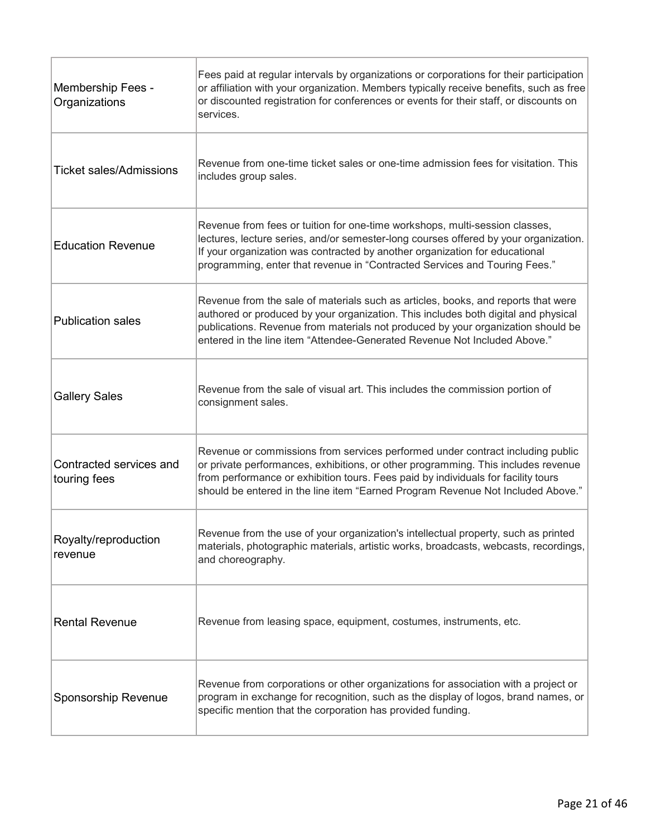| Membership Fees -<br>Organizations      | Fees paid at regular intervals by organizations or corporations for their participation<br>or affiliation with your organization. Members typically receive benefits, such as free<br>or discounted registration for conferences or events for their staff, or discounts on<br>services.                                                    |
|-----------------------------------------|---------------------------------------------------------------------------------------------------------------------------------------------------------------------------------------------------------------------------------------------------------------------------------------------------------------------------------------------|
| <b>Ticket sales/Admissions</b>          | Revenue from one-time ticket sales or one-time admission fees for visitation. This<br>includes group sales.                                                                                                                                                                                                                                 |
| <b>Education Revenue</b>                | Revenue from fees or tuition for one-time workshops, multi-session classes,<br>lectures, lecture series, and/or semester-long courses offered by your organization.<br>If your organization was contracted by another organization for educational<br>programming, enter that revenue in "Contracted Services and Touring Fees."            |
| <b>Publication sales</b>                | Revenue from the sale of materials such as articles, books, and reports that were<br>authored or produced by your organization. This includes both digital and physical<br>publications. Revenue from materials not produced by your organization should be<br>entered in the line item "Attendee-Generated Revenue Not Included Above."    |
| <b>Gallery Sales</b>                    | Revenue from the sale of visual art. This includes the commission portion of<br>consignment sales.                                                                                                                                                                                                                                          |
| Contracted services and<br>touring fees | Revenue or commissions from services performed under contract including public<br>or private performances, exhibitions, or other programming. This includes revenue<br>from performance or exhibition tours. Fees paid by individuals for facility tours<br>should be entered in the line item "Earned Program Revenue Not Included Above." |
| Royalty/reproduction<br>revenue         | Revenue from the use of your organization's intellectual property, such as printed<br>materials, photographic materials, artistic works, broadcasts, webcasts, recordings,<br>and choreography.                                                                                                                                             |
| <b>Rental Revenue</b>                   | Revenue from leasing space, equipment, costumes, instruments, etc.                                                                                                                                                                                                                                                                          |
| Sponsorship Revenue                     | Revenue from corporations or other organizations for association with a project or<br>program in exchange for recognition, such as the display of logos, brand names, or<br>specific mention that the corporation has provided funding.                                                                                                     |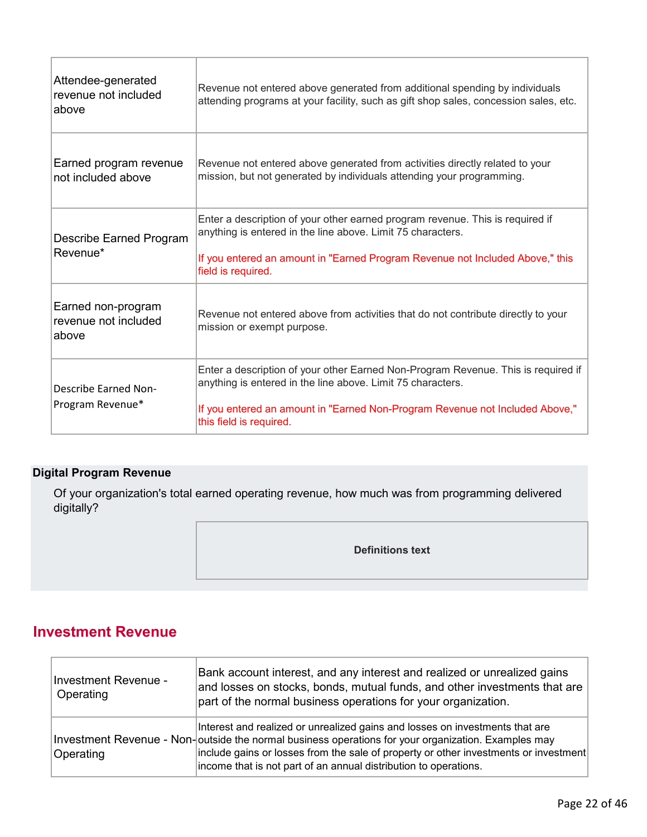| Attendee-generated<br>revenue not included<br>above | Revenue not entered above generated from additional spending by individuals<br>attending programs at your facility, such as gift shop sales, concession sales, etc.                                                                                         |
|-----------------------------------------------------|-------------------------------------------------------------------------------------------------------------------------------------------------------------------------------------------------------------------------------------------------------------|
| Earned program revenue<br>not included above        | Revenue not entered above generated from activities directly related to your<br>mission, but not generated by individuals attending your programming.                                                                                                       |
| Describe Earned Program<br>Revenue*                 | Enter a description of your other earned program revenue. This is required if<br>anything is entered in the line above. Limit 75 characters.<br>If you entered an amount in "Earned Program Revenue not Included Above," this<br>field is required.         |
| Earned non-program<br>revenue not included<br>above | Revenue not entered above from activities that do not contribute directly to your<br>mission or exempt purpose.                                                                                                                                             |
| Describe Earned Non-<br>Program Revenue*            | Enter a description of your other Earned Non-Program Revenue. This is required if<br>anything is entered in the line above. Limit 75 characters.<br>If you entered an amount in "Earned Non-Program Revenue not Included Above,"<br>this field is required. |

## **Digital Program Revenue**

Of your organization's total earned operating revenue, how much was from programming delivered digitally?

**Definitions text**

# **Investment Revenue**

| Investment Revenue -<br>Operating | Bank account interest, and any interest and realized or unrealized gains<br>and losses on stocks, bonds, mutual funds, and other investments that are<br>part of the normal business operations for your organization.                                                                                                                          |
|-----------------------------------|-------------------------------------------------------------------------------------------------------------------------------------------------------------------------------------------------------------------------------------------------------------------------------------------------------------------------------------------------|
| Operating                         | Interest and realized or unrealized gains and losses on investments that are<br>Investment Revenue - Non-outside the normal business operations for your organization. Examples may<br>include gains or losses from the sale of property or other investments or investment<br>income that is not part of an annual distribution to operations. |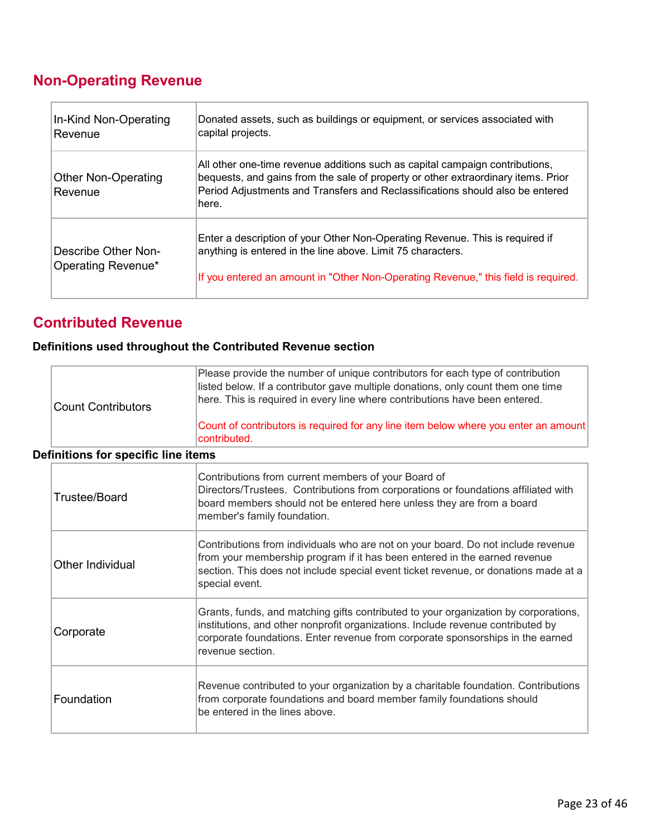# **Non-Operating Revenue**

| In-Kind Non-Operating<br>Revenue          | Donated assets, such as buildings or equipment, or services associated with<br>capital projects.                                                                                                                                                            |
|-------------------------------------------|-------------------------------------------------------------------------------------------------------------------------------------------------------------------------------------------------------------------------------------------------------------|
| <b>Other Non-Operating</b><br>Revenue     | All other one-time revenue additions such as capital campaign contributions,<br>bequests, and gains from the sale of property or other extraordinary items. Prior<br>Period Adjustments and Transfers and Reclassifications should also be entered<br>here. |
| Describe Other Non-<br>Operating Revenue* | Enter a description of your Other Non-Operating Revenue. This is required if<br>anything is entered in the line above. Limit 75 characters.<br>If you entered an amount in "Other Non-Operating Revenue," this field is required.                           |

# **Contributed Revenue**

## **Definitions used throughout the Contributed Revenue section**

| Count Contributors | Please provide the number of unique contributors for each type of contribution<br>listed below. If a contributor gave multiple donations, only count them one time<br>here. This is required in every line where contributions have been entered. |
|--------------------|---------------------------------------------------------------------------------------------------------------------------------------------------------------------------------------------------------------------------------------------------|
|                    | Count of contributors is required for any line item below where you enter an amount<br>contributed.                                                                                                                                               |

#### **Definitions for specific line items**

| Trustee/Board    | Contributions from current members of your Board of<br>Directors/Trustees. Contributions from corporations or foundations affiliated with<br>board members should not be entered here unless they are from a board<br>member's family foundation.                            |
|------------------|------------------------------------------------------------------------------------------------------------------------------------------------------------------------------------------------------------------------------------------------------------------------------|
| Other Individual | Contributions from individuals who are not on your board. Do not include revenue<br>from your membership program if it has been entered in the earned revenue<br>section. This does not include special event ticket revenue, or donations made at a<br>special event.       |
| Corporate        | Grants, funds, and matching gifts contributed to your organization by corporations,<br>institutions, and other nonprofit organizations. Include revenue contributed by<br>corporate foundations. Enter revenue from corporate sponsorships in the earned<br>revenue section. |
| Foundation       | Revenue contributed to your organization by a charitable foundation. Contributions<br>from corporate foundations and board member family foundations should<br>be entered in the lines above.                                                                                |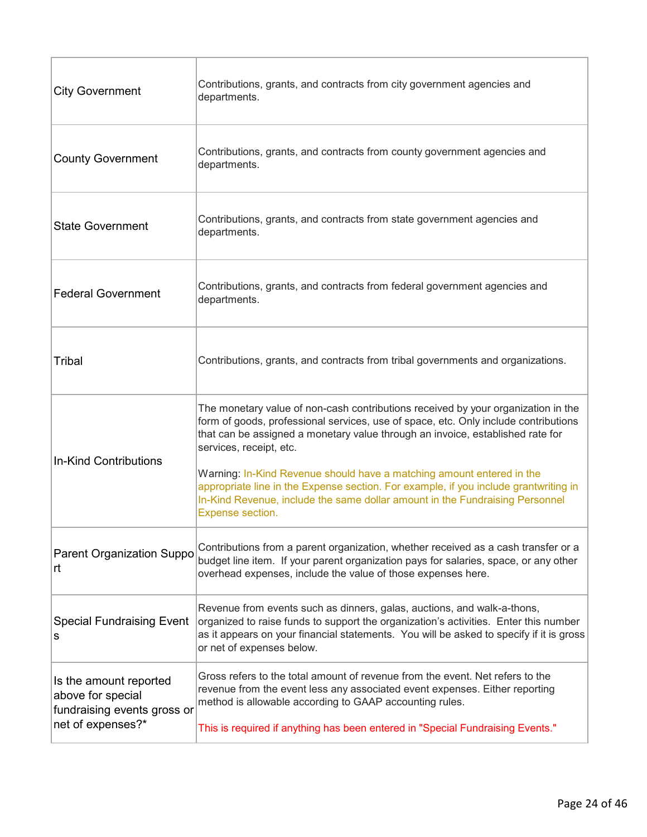| <b>City Government</b>                                                     | Contributions, grants, and contracts from city government agencies and<br>departments.                                                                                                                                                                                                  |
|----------------------------------------------------------------------------|-----------------------------------------------------------------------------------------------------------------------------------------------------------------------------------------------------------------------------------------------------------------------------------------|
| <b>County Government</b>                                                   | Contributions, grants, and contracts from county government agencies and<br>departments.                                                                                                                                                                                                |
| <b>State Government</b>                                                    | Contributions, grants, and contracts from state government agencies and<br>departments.                                                                                                                                                                                                 |
| <b>Federal Government</b>                                                  | Contributions, grants, and contracts from federal government agencies and<br>departments.                                                                                                                                                                                               |
| Tribal                                                                     | Contributions, grants, and contracts from tribal governments and organizations.                                                                                                                                                                                                         |
|                                                                            | The monetary value of non-cash contributions received by your organization in the<br>form of goods, professional services, use of space, etc. Only include contributions<br>that can be assigned a monetary value through an invoice, established rate for<br>services, receipt, etc.   |
| In-Kind Contributions                                                      | Warning: In-Kind Revenue should have a matching amount entered in the<br>appropriate line in the Expense section. For example, if you include grantwriting in<br>In-Kind Revenue, include the same dollar amount in the Fundraising Personnel<br>Expense section.                       |
| <b>Parent Organization Suppo</b><br>lrt.                                   | Contributions from a parent organization, whether received as a cash transfer or a<br>budget line item. If your parent organization pays for salaries, space, or any other<br>overhead expenses, include the value of those expenses here.                                              |
| <b>Special Fundraising Event</b><br>s                                      | Revenue from events such as dinners, galas, auctions, and walk-a-thons,<br>organized to raise funds to support the organization's activities. Enter this number<br>as it appears on your financial statements. You will be asked to specify if it is gross<br>or net of expenses below. |
| Is the amount reported<br>above for special<br>fundraising events gross or | Gross refers to the total amount of revenue from the event. Net refers to the<br>revenue from the event less any associated event expenses. Either reporting<br>method is allowable according to GAAP accounting rules.                                                                 |
| net of expenses?*                                                          | This is required if anything has been entered in "Special Fundraising Events."                                                                                                                                                                                                          |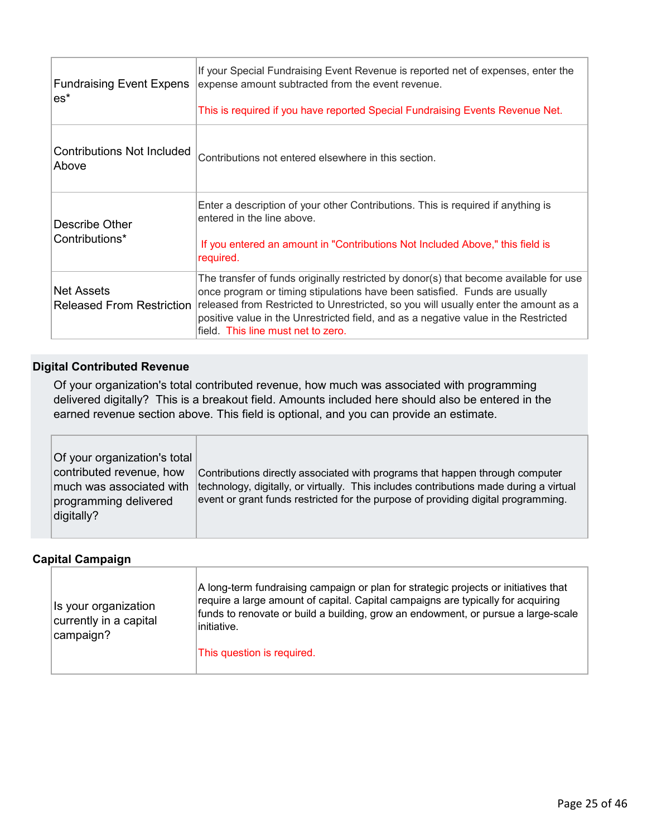| <b>Fundraising Event Expens</b><br>$es^*$      | If your Special Fundraising Event Revenue is reported net of expenses, enter the<br>expense amount subtracted from the event revenue.<br>This is required if you have reported Special Fundraising Events Revenue Net.                                                                                                                                                                  |
|------------------------------------------------|-----------------------------------------------------------------------------------------------------------------------------------------------------------------------------------------------------------------------------------------------------------------------------------------------------------------------------------------------------------------------------------------|
| Contributions Not Included<br>Above            | Contributions not entered elsewhere in this section.                                                                                                                                                                                                                                                                                                                                    |
| Describe Other<br>Contributions*               | Enter a description of your other Contributions. This is required if anything is<br>entered in the line above.<br>If you entered an amount in "Contributions Not Included Above," this field is<br>required.                                                                                                                                                                            |
| Net Assets<br><b>Released From Restriction</b> | The transfer of funds originally restricted by donor(s) that become available for use<br>once program or timing stipulations have been satisfied. Funds are usually<br>released from Restricted to Unrestricted, so you will usually enter the amount as a<br>positive value in the Unrestricted field, and as a negative value in the Restricted<br>field. This line must net to zero. |

#### **Digital Contributed Revenue**

Of your organization's total contributed revenue, how much was associated with programming delivered digitally? This is a breakout field. Amounts included here should also be entered in the earned revenue section above. This field is optional, and you can provide an estimate.

| Of your organization's total<br>contributed revenue, how<br>much was associated with<br>programming delivered<br>digitally? | Contributions directly associated with programs that happen through computer<br>technology, digitally, or virtually. This includes contributions made during a virtual<br>event or grant funds restricted for the purpose of providing digital programming. |
|-----------------------------------------------------------------------------------------------------------------------------|-------------------------------------------------------------------------------------------------------------------------------------------------------------------------------------------------------------------------------------------------------------|
|-----------------------------------------------------------------------------------------------------------------------------|-------------------------------------------------------------------------------------------------------------------------------------------------------------------------------------------------------------------------------------------------------------|

#### **Capital Campaign**

| A long-term fundraising campaign or plan for strategic projects or initiatives that<br>require a large amount of capital. Capital campaigns are typically for acquiring<br>Is your organization<br>funds to renovate or build a building, grow an endowment, or pursue a large-scale<br>currently in a capital<br>∣initiative.<br>campaign?<br>This question is required. |  |
|---------------------------------------------------------------------------------------------------------------------------------------------------------------------------------------------------------------------------------------------------------------------------------------------------------------------------------------------------------------------------|--|
|---------------------------------------------------------------------------------------------------------------------------------------------------------------------------------------------------------------------------------------------------------------------------------------------------------------------------------------------------------------------------|--|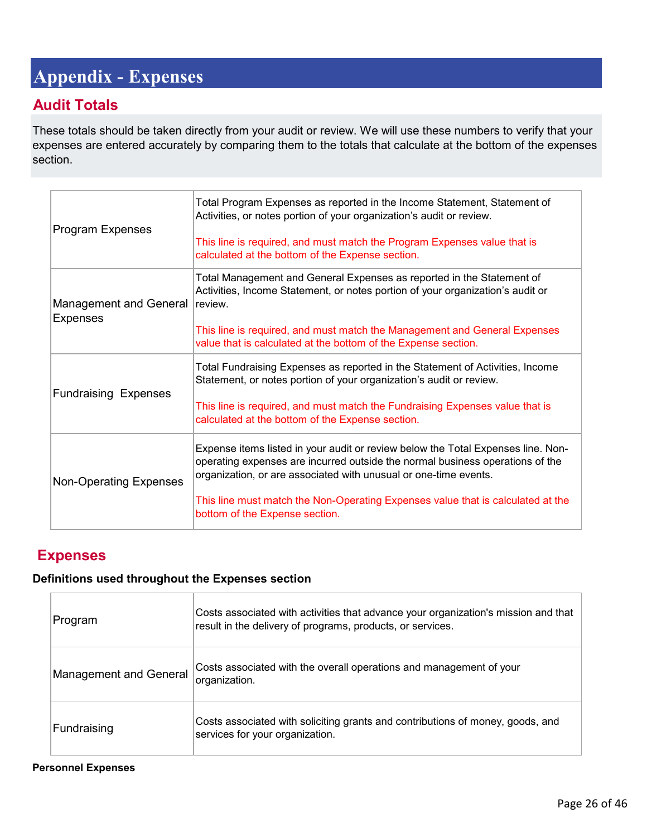# <span id="page-25-0"></span>**Appendix - Expenses**

# **Audit Totals**

These totals should be taken directly from your audit or review. We will use these numbers to verify that your expenses are entered accurately by comparing them to the totals that calculate at the bottom of the expenses section.

| Program Expenses                                 | Total Program Expenses as reported in the Income Statement, Statement of<br>Activities, or notes portion of your organization's audit or review.<br>This line is required, and must match the Program Expenses value that is<br>calculated at the bottom of the Expense section.                                                                           |
|--------------------------------------------------|------------------------------------------------------------------------------------------------------------------------------------------------------------------------------------------------------------------------------------------------------------------------------------------------------------------------------------------------------------|
| <b>Management and General</b><br><b>Expenses</b> | Total Management and General Expenses as reported in the Statement of<br>Activities, Income Statement, or notes portion of your organization's audit or<br>review.<br>This line is required, and must match the Management and General Expenses<br>value that is calculated at the bottom of the Expense section.                                          |
| <b>Fundraising Expenses</b>                      | Total Fundraising Expenses as reported in the Statement of Activities, Income<br>Statement, or notes portion of your organization's audit or review.<br>This line is required, and must match the Fundraising Expenses value that is<br>calculated at the bottom of the Expense section.                                                                   |
| <b>Non-Operating Expenses</b>                    | Expense items listed in your audit or review below the Total Expenses line. Non-<br>operating expenses are incurred outside the normal business operations of the<br>organization, or are associated with unusual or one-time events.<br>This line must match the Non-Operating Expenses value that is calculated at the<br>bottom of the Expense section. |

# **Expenses**

#### **Definitions used throughout the Expenses section**

| Program                       | Costs associated with activities that advance your organization's mission and that<br>result in the delivery of programs, products, or services. |
|-------------------------------|--------------------------------------------------------------------------------------------------------------------------------------------------|
| <b>Management and General</b> | Costs associated with the overall operations and management of your<br>organization.                                                             |
| Fundraising                   | Costs associated with soliciting grants and contributions of money, goods, and<br>services for your organization.                                |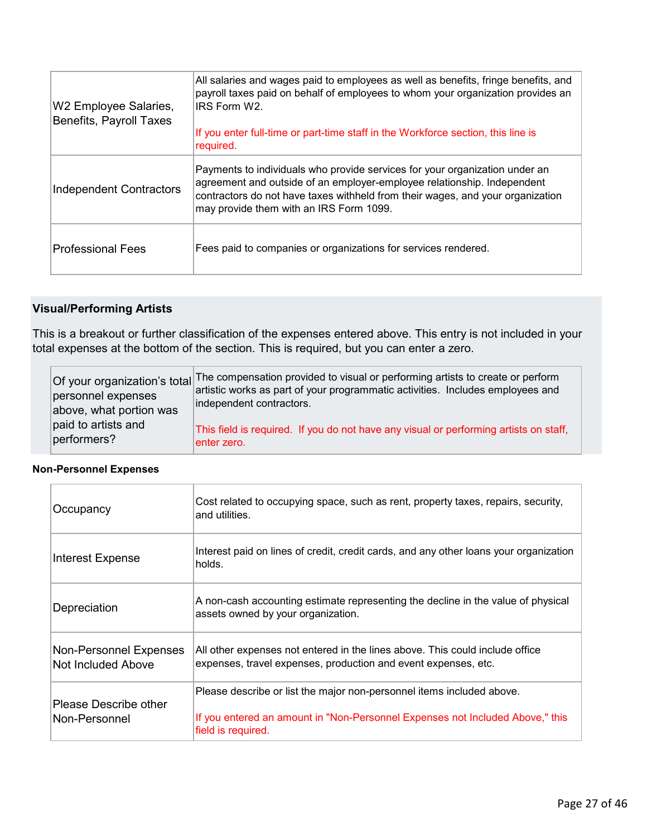| W2 Employee Salaries,<br><b>Benefits, Payroll Taxes</b> | All salaries and wages paid to employees as well as benefits, fringe benefits, and<br>payroll taxes paid on behalf of employees to whom your organization provides an<br>IRS Form W2.<br>If you enter full-time or part-time staff in the Workforce section, this line is<br>required. |
|---------------------------------------------------------|----------------------------------------------------------------------------------------------------------------------------------------------------------------------------------------------------------------------------------------------------------------------------------------|
| Independent Contractors                                 | Payments to individuals who provide services for your organization under an<br>agreement and outside of an employer-employee relationship. Independent<br>contractors do not have taxes withheld from their wages, and your organization<br>may provide them with an IRS Form 1099.    |
| <b>Professional Fees</b>                                | Fees paid to companies or organizations for services rendered.                                                                                                                                                                                                                         |

#### **Visual/Performing Artists**

This is a breakout or further classification of the expenses entered above. This entry is not included in your total expenses at the bottom of the section. This is required, but you can enter a zero.

| personnel expenses<br>above, what portion was | Of your organization's total The compensation provided to visual or performing artists to create or perform<br>artistic works as part of your programmatic activities. Includes employees and<br>independent contractors. |
|-----------------------------------------------|---------------------------------------------------------------------------------------------------------------------------------------------------------------------------------------------------------------------------|
| paid to artists and<br>performers?            | This field is required. If you do not have any visual or performing artists on staff,<br>enter zero.                                                                                                                      |

#### **Non-Personnel Expenses**

| Occupancy                                    | Cost related to occupying space, such as rent, property taxes, repairs, security,<br>and utilities.                                                                          |
|----------------------------------------------|------------------------------------------------------------------------------------------------------------------------------------------------------------------------------|
| <b>Interest Expense</b>                      | Interest paid on lines of credit, credit cards, and any other loans your organization<br>holds.                                                                              |
| Depreciation                                 | A non-cash accounting estimate representing the decline in the value of physical<br>assets owned by your organization.                                                       |
| Non-Personnel Expenses<br>Not Included Above | All other expenses not entered in the lines above. This could include office<br>expenses, travel expenses, production and event expenses, etc.                               |
| Please Describe other<br>Non-Personnel       | Please describe or list the major non-personnel items included above.<br>If you entered an amount in "Non-Personnel Expenses not Included Above," this<br>field is required. |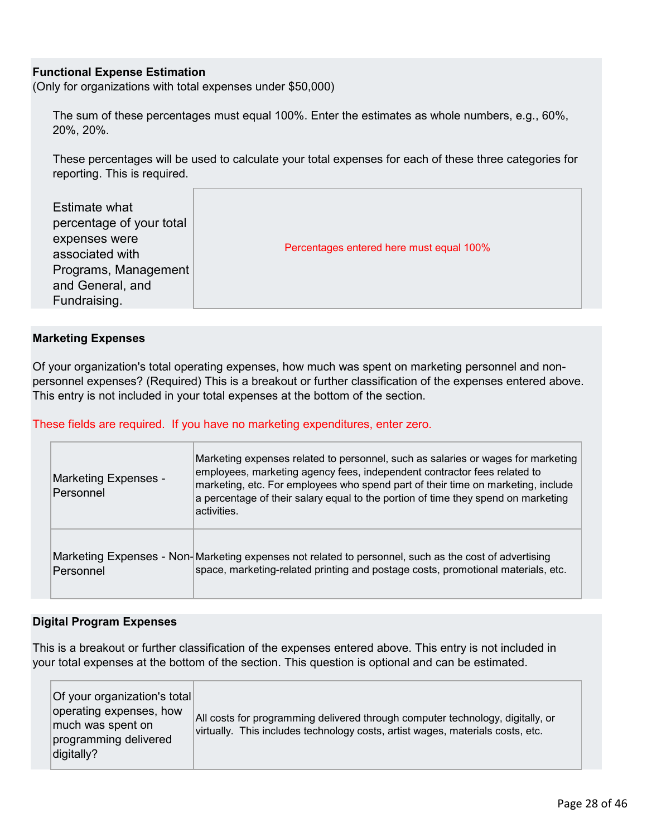#### **Functional Expense Estimation**

(Only for organizations with total expenses under \$50,000)

The sum of these percentages must equal 100%. Enter the estimates as whole numbers, e.g., 60%, 20%, 20%.

These percentages will be used to calculate your total expenses for each of these three categories for reporting. This is required.

| <b>Estimate what</b><br>percentage of your total<br>expenses were<br>associated with<br>Programs, Management<br>and General, and<br>Fundraising. | Percentages entered here must equal 100% |
|--------------------------------------------------------------------------------------------------------------------------------------------------|------------------------------------------|
|--------------------------------------------------------------------------------------------------------------------------------------------------|------------------------------------------|

#### **Marketing Expenses**

Of your organization's total operating expenses, how much was spent on marketing personnel and nonpersonnel expenses? (Required) This is a breakout or further classification of the expenses entered above. This entry is not included in your total expenses at the bottom of the section.

These fields are required. If you have no marketing expenditures, enter zero.

| <b>Marketing Expenses -</b><br>Personnel | Marketing expenses related to personnel, such as salaries or wages for marketing<br>employees, marketing agency fees, independent contractor fees related to<br>marketing, etc. For employees who spend part of their time on marketing, include<br>a percentage of their salary equal to the portion of time they spend on marketing<br>activities. |
|------------------------------------------|------------------------------------------------------------------------------------------------------------------------------------------------------------------------------------------------------------------------------------------------------------------------------------------------------------------------------------------------------|
| Personnel                                | Marketing Expenses - Non-Marketing expenses not related to personnel, such as the cost of advertising<br>space, marketing-related printing and postage costs, promotional materials, etc.                                                                                                                                                            |

#### **Digital Program Expenses**

This is a breakout or further classification of the expenses entered above. This entry is not included in your total expenses at the bottom of the section. This question is optional and can be estimated.

| Of your organization's total<br>operating expenses, how<br>much was spent on<br>programming delivered<br>digitally? | All costs for programming delivered through computer technology, digitally, or<br>virtually. This includes technology costs, artist wages, materials costs, etc. |
|---------------------------------------------------------------------------------------------------------------------|------------------------------------------------------------------------------------------------------------------------------------------------------------------|
|---------------------------------------------------------------------------------------------------------------------|------------------------------------------------------------------------------------------------------------------------------------------------------------------|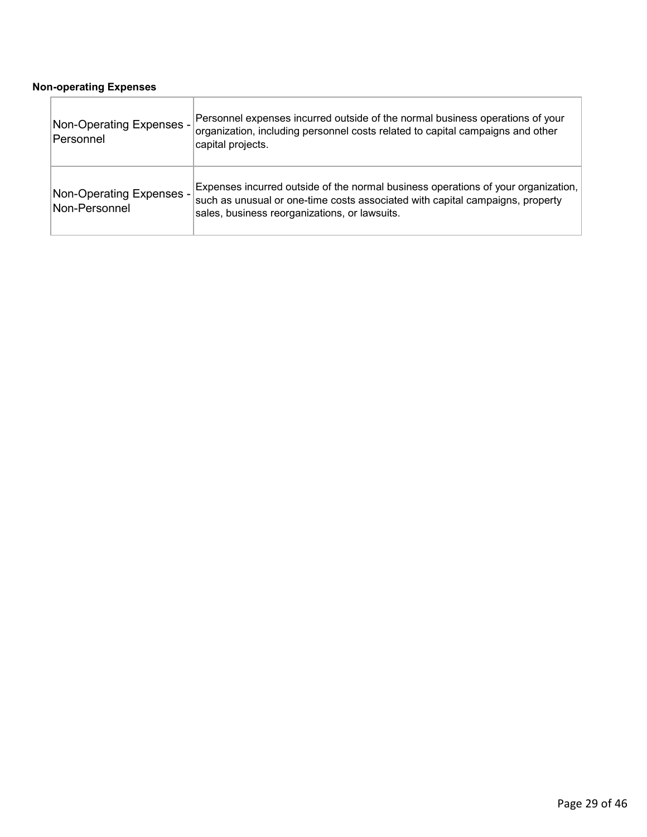#### **Non-operating Expenses**

| Non-Operating Expenses -<br>Personnel     | Personnel expenses incurred outside of the normal business operations of your<br>organization, including personnel costs related to capital campaigns and other<br>capital projects.                                |
|-------------------------------------------|---------------------------------------------------------------------------------------------------------------------------------------------------------------------------------------------------------------------|
| Non-Operating Expenses -<br>Non-Personnel | Expenses incurred outside of the normal business operations of your organization,<br>such as unusual or one-time costs associated with capital campaigns, property<br>sales, business reorganizations, or lawsuits. |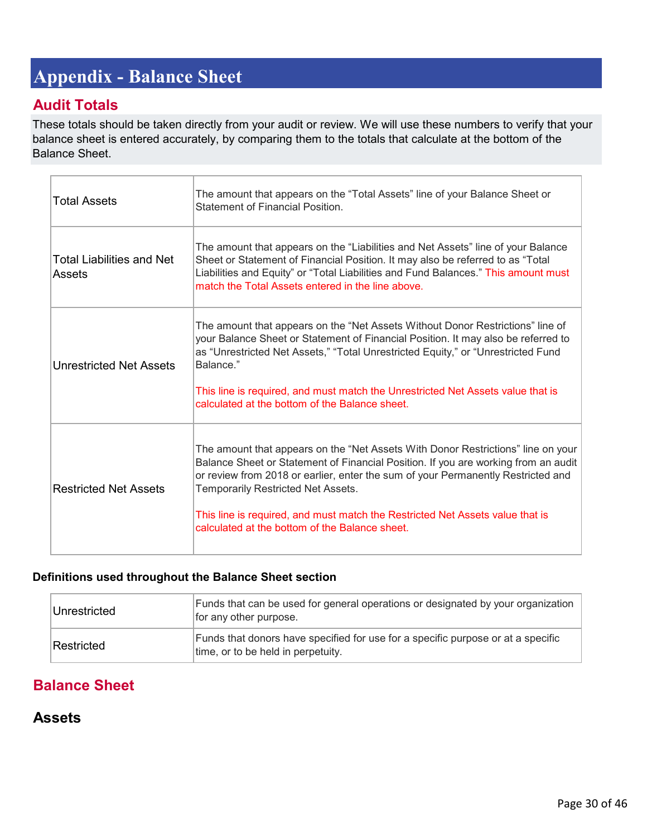# <span id="page-29-0"></span>**Appendix - Balance Sheet**

# **Audit Totals**

These totals should be taken directly from your audit or review. We will use these numbers to verify that your balance sheet is entered accurately, by comparing them to the totals that calculate at the bottom of the Balance Sheet.

| <b>Total Assets</b>                        | The amount that appears on the "Total Assets" line of your Balance Sheet or<br>Statement of Financial Position                                                                                                                                                                                                                                                                                                                      |
|--------------------------------------------|-------------------------------------------------------------------------------------------------------------------------------------------------------------------------------------------------------------------------------------------------------------------------------------------------------------------------------------------------------------------------------------------------------------------------------------|
| <b>Total Liabilities and Net</b><br>Assets | The amount that appears on the "Liabilities and Net Assets" line of your Balance<br>Sheet or Statement of Financial Position. It may also be referred to as "Total<br>Liabilities and Equity" or "Total Liabilities and Fund Balances." This amount must<br>match the Total Assets entered in the line above.                                                                                                                       |
| <b>Unrestricted Net Assets</b>             | The amount that appears on the "Net Assets Without Donor Restrictions" line of<br>your Balance Sheet or Statement of Financial Position. It may also be referred to<br>as "Unrestricted Net Assets," "Total Unrestricted Equity," or "Unrestricted Fund<br>Balance."<br>This line is required, and must match the Unrestricted Net Assets value that is<br>calculated at the bottom of the Balance sheet.                           |
| <b>Restricted Net Assets</b>               | The amount that appears on the "Net Assets With Donor Restrictions" line on your<br>Balance Sheet or Statement of Financial Position. If you are working from an audit<br>or review from 2018 or earlier, enter the sum of your Permanently Restricted and<br>Temporarily Restricted Net Assets.<br>This line is required, and must match the Restricted Net Assets value that is<br>calculated at the bottom of the Balance sheet. |

#### **Definitions used throughout the Balance Sheet section**

| Unrestricted | Funds that can be used for general operations or designated by your organization<br>for any other purpose.             |
|--------------|------------------------------------------------------------------------------------------------------------------------|
| Restricted   | Funds that donors have specified for use for a specific purpose or at a specific<br>time, or to be held in perpetuity. |

# **Balance Sheet**

# **Assets**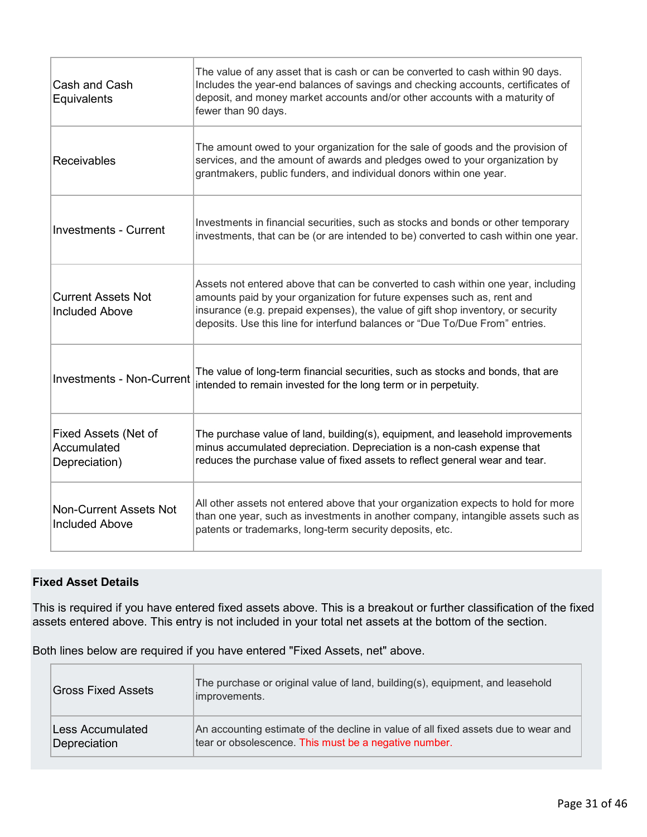| Cash and Cash<br>Equivalents                           | The value of any asset that is cash or can be converted to cash within 90 days.<br>Includes the year-end balances of savings and checking accounts, certificates of<br>deposit, and money market accounts and/or other accounts with a maturity of<br>fewer than 90 days.                                                        |
|--------------------------------------------------------|----------------------------------------------------------------------------------------------------------------------------------------------------------------------------------------------------------------------------------------------------------------------------------------------------------------------------------|
| <b>Receivables</b>                                     | The amount owed to your organization for the sale of goods and the provision of<br>services, and the amount of awards and pledges owed to your organization by<br>grantmakers, public funders, and individual donors within one year.                                                                                            |
| <b>Investments - Current</b>                           | Investments in financial securities, such as stocks and bonds or other temporary<br>investments, that can be (or are intended to be) converted to cash within one year.                                                                                                                                                          |
| <b>Current Assets Not</b><br><b>Included Above</b>     | Assets not entered above that can be converted to cash within one year, including<br>amounts paid by your organization for future expenses such as, rent and<br>insurance (e.g. prepaid expenses), the value of gift shop inventory, or security<br>deposits. Use this line for interfund balances or "Due To/Due From" entries. |
| <b>Investments - Non-Current</b>                       | The value of long-term financial securities, such as stocks and bonds, that are<br>intended to remain invested for the long term or in perpetuity.                                                                                                                                                                               |
| Fixed Assets (Net of<br>Accumulated<br>Depreciation)   | The purchase value of land, building(s), equipment, and leasehold improvements<br>minus accumulated depreciation. Depreciation is a non-cash expense that<br>reduces the purchase value of fixed assets to reflect general wear and tear.                                                                                        |
| <b>Non-Current Assets Not</b><br><b>Included Above</b> | All other assets not entered above that your organization expects to hold for more<br>than one year, such as investments in another company, intangible assets such as<br>patents or trademarks, long-term security deposits, etc.                                                                                               |

#### **Fixed Asset Details**

This is required if you have entered fixed assets above. This is a breakout or further classification of the fixed assets entered above. This entry is not included in your total net assets at the bottom of the section.

Both lines below are required if you have entered "Fixed Assets, net" above.

| <b>Gross Fixed Assets</b> | The purchase or original value of land, building(s), equipment, and leasehold<br>improvements. |
|---------------------------|------------------------------------------------------------------------------------------------|
| Less Accumulated          | An accounting estimate of the decline in value of all fixed assets due to wear and             |
| Depreciation              | tear or obsolescence. This must be a negative number.                                          |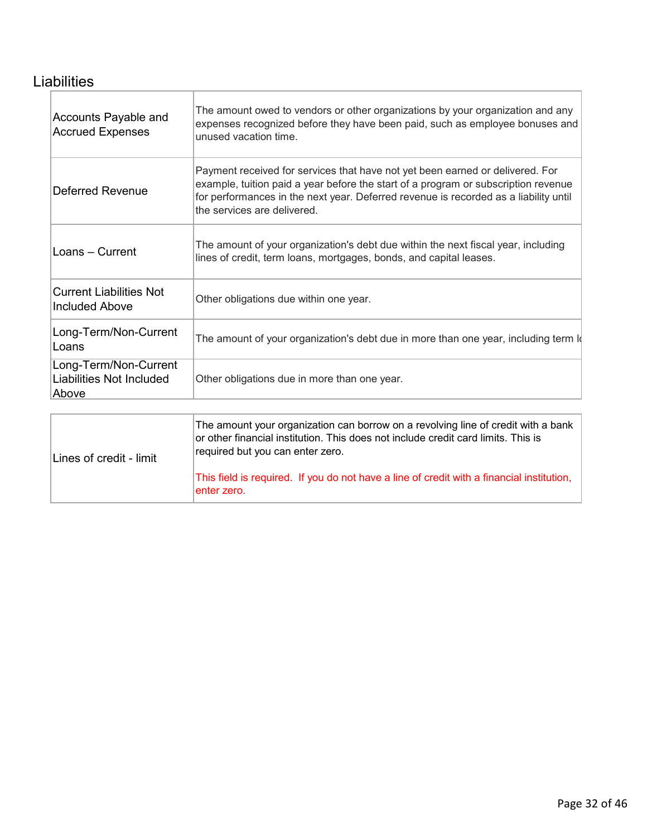# **Liabilities**

| Accounts Payable and<br><b>Accrued Expenses</b>            | The amount owed to vendors or other organizations by your organization and any<br>expenses recognized before they have been paid, such as employee bonuses and<br>unused vacation time.                                                                                                    |
|------------------------------------------------------------|--------------------------------------------------------------------------------------------------------------------------------------------------------------------------------------------------------------------------------------------------------------------------------------------|
| Deferred Revenue                                           | Payment received for services that have not yet been earned or delivered. For<br>example, tuition paid a year before the start of a program or subscription revenue<br>for performances in the next year. Deferred revenue is recorded as a liability until<br>the services are delivered. |
| Loans - Current                                            | The amount of your organization's debt due within the next fiscal year, including<br>lines of credit, term loans, mortgages, bonds, and capital leases.                                                                                                                                    |
| <b>Current Liabilities Not</b><br><b>Included Above</b>    | Other obligations due within one year.                                                                                                                                                                                                                                                     |
| Long-Term/Non-Current<br>Loans                             | The amount of your organization's debt due in more than one year, including term I                                                                                                                                                                                                         |
| Long-Term/Non-Current<br>Liabilities Not Included<br>Above | Other obligations due in more than one year.                                                                                                                                                                                                                                               |
|                                                            |                                                                                                                                                                                                                                                                                            |

| Lines of credit - limit | The amount your organization can borrow on a revolving line of credit with a bank<br>or other financial institution. This does not include credit card limits. This is<br>required but you can enter zero. |
|-------------------------|------------------------------------------------------------------------------------------------------------------------------------------------------------------------------------------------------------|
|                         | This field is required. If you do not have a line of credit with a financial institution,<br>lenter zero.                                                                                                  |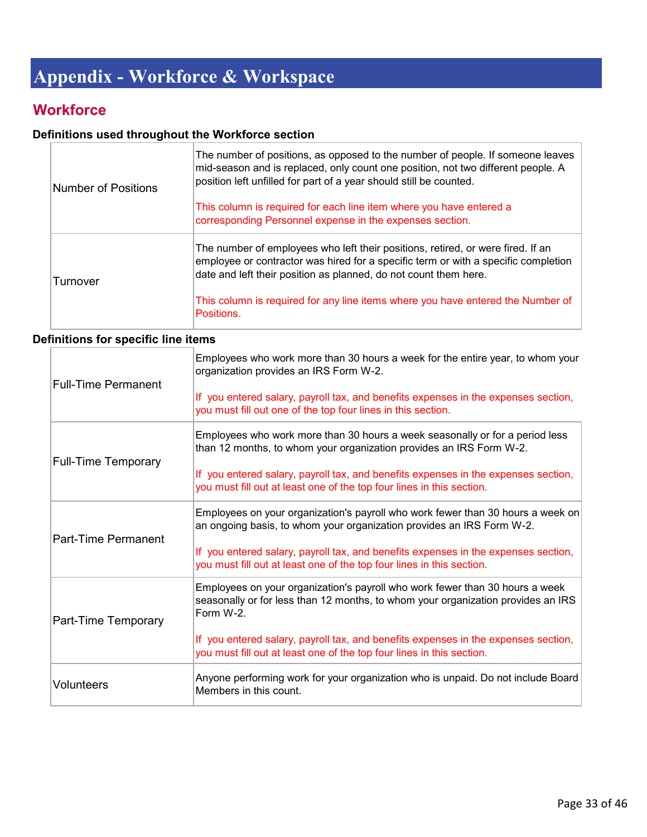# <span id="page-32-0"></span>**Appendix - Workforce & Workspace**

# **Workforce**

## **Definitions used throughout the Workforce section**

| <b>Number of Positions</b> | The number of positions, as opposed to the number of people. If someone leaves<br>mid-season and is replaced, only count one position, not two different people. A<br>position left unfilled for part of a year should still be counted.  |
|----------------------------|-------------------------------------------------------------------------------------------------------------------------------------------------------------------------------------------------------------------------------------------|
|                            | This column is required for each line item where you have entered a<br>corresponding Personnel expense in the expenses section.                                                                                                           |
| Turnover                   | The number of employees who left their positions, retired, or were fired. If an<br>employee or contractor was hired for a specific term or with a specific completion<br>date and left their position as planned, do not count them here. |
|                            | This column is required for any line items where you have entered the Number of<br>Positions.                                                                                                                                             |

## **Definitions for specific line items**

| <b>Full-Time Permanent</b> | Employees who work more than 30 hours a week for the entire year, to whom your<br>organization provides an IRS Form W-2.                                                      |
|----------------------------|-------------------------------------------------------------------------------------------------------------------------------------------------------------------------------|
|                            | If you entered salary, payroll tax, and benefits expenses in the expenses section,<br>you must fill out one of the top four lines in this section.                            |
|                            | Employees who work more than 30 hours a week seasonally or for a period less<br>than 12 months, to whom your organization provides an IRS Form W-2.                           |
| <b>Full-Time Temporary</b> | If you entered salary, payroll tax, and benefits expenses in the expenses section,<br>you must fill out at least one of the top four lines in this section.                   |
|                            | Employees on your organization's payroll who work fewer than 30 hours a week on<br>an ongoing basis, to whom your organization provides an IRS Form W-2.                      |
| Part-Time Permanent        | If you entered salary, payroll tax, and benefits expenses in the expenses section,<br>you must fill out at least one of the top four lines in this section.                   |
| Part-Time Temporary        | Employees on your organization's payroll who work fewer than 30 hours a week<br>seasonally or for less than 12 months, to whom your organization provides an IRS<br>Form W-2. |
|                            | If you entered salary, payroll tax, and benefits expenses in the expenses section,<br>you must fill out at least one of the top four lines in this section.                   |
| <b>Volunteers</b>          | Anyone performing work for your organization who is unpaid. Do not include Board<br>Members in this count.                                                                    |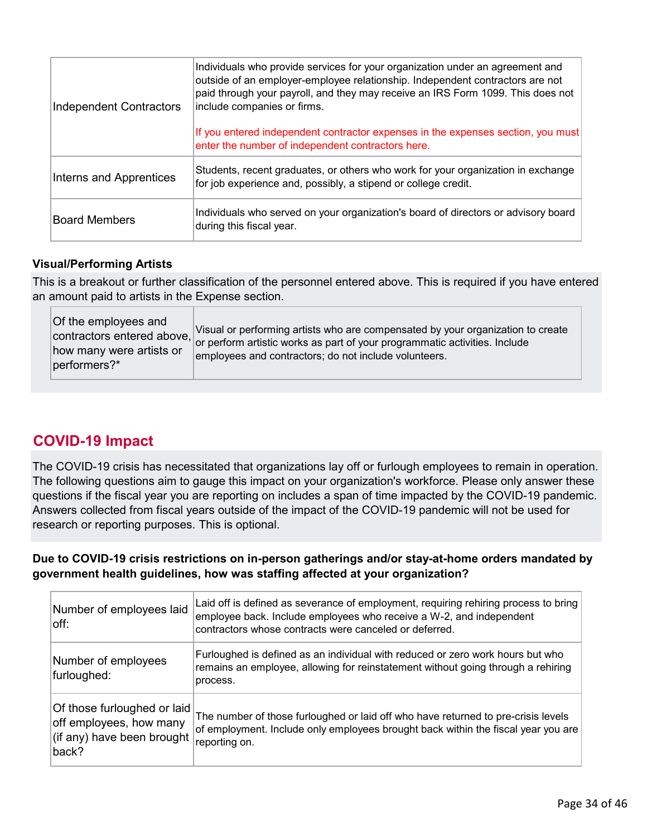| <b>Independent Contractors</b> | Individuals who provide services for your organization under an agreement and<br>outside of an employer-employee relationship. Independent contractors are not<br>paid through your payroll, and they may receive an IRS Form 1099. This does not<br>include companies or firms. |
|--------------------------------|----------------------------------------------------------------------------------------------------------------------------------------------------------------------------------------------------------------------------------------------------------------------------------|
|                                | If you entered independent contractor expenses in the expenses section, you must<br>enter the number of independent contractors here.                                                                                                                                            |
| Interns and Apprentices        | Students, recent graduates, or others who work for your organization in exchange<br>for job experience and, possibly, a stipend or college credit.                                                                                                                               |
| <b>Board Members</b>           | Individuals who served on your organization's board of directors or advisory board<br>during this fiscal year.                                                                                                                                                                   |

#### **Visual/Performing Artists**

This is a breakout or further classification of the personnel entered above. This is required if you have entered an amount paid to artists in the Expense section.

| Of the employees and<br>contractors entered above,<br>how many were artists or<br>performers?* | Visual or performing artists who are compensated by your organization to create<br>or perform artistic works as part of your programmatic activities. Include<br>employees and contractors; do not include volunteers. |
|------------------------------------------------------------------------------------------------|------------------------------------------------------------------------------------------------------------------------------------------------------------------------------------------------------------------------|
|------------------------------------------------------------------------------------------------|------------------------------------------------------------------------------------------------------------------------------------------------------------------------------------------------------------------------|

# **COVID-19 Impact**

The COVID-19 crisis has necessitated that organizations lay off or furlough employees to remain in operation. The following questions aim to gauge this impact on your organization's workforce. Please only answer these questions if the fiscal year you are reporting on includes a span of time impacted by the COVID-19 pandemic. Answers collected from fiscal years outside of the impact of the COVID-19 pandemic will not be used for research or reporting purposes. This is optional.

**Due to COVID-19 crisis restrictions on in-person gatherings and/or stay-at-home orders mandated by government health guidelines, how was staffing affected at your organization?**

| Number of employees laid<br>$ $ off:                                                          | Laid off is defined as severance of employment, requiring rehiring process to bring<br>employee back. Include employees who receive a W-2, and independent<br>contractors whose contracts were canceled or deferred. |
|-----------------------------------------------------------------------------------------------|----------------------------------------------------------------------------------------------------------------------------------------------------------------------------------------------------------------------|
| Number of employees<br>furloughed:                                                            | Furloughed is defined as an individual with reduced or zero work hours but who<br>remains an employee, allowing for reinstatement without going through a rehiring<br>process.                                       |
| Of those furloughed or laid<br>off employees, how many<br>(if any) have been brought<br>back? | The number of those furloughed or laid off who have returned to pre-crisis levels<br>of employment. Include only employees brought back within the fiscal year you are<br>reporting on.                              |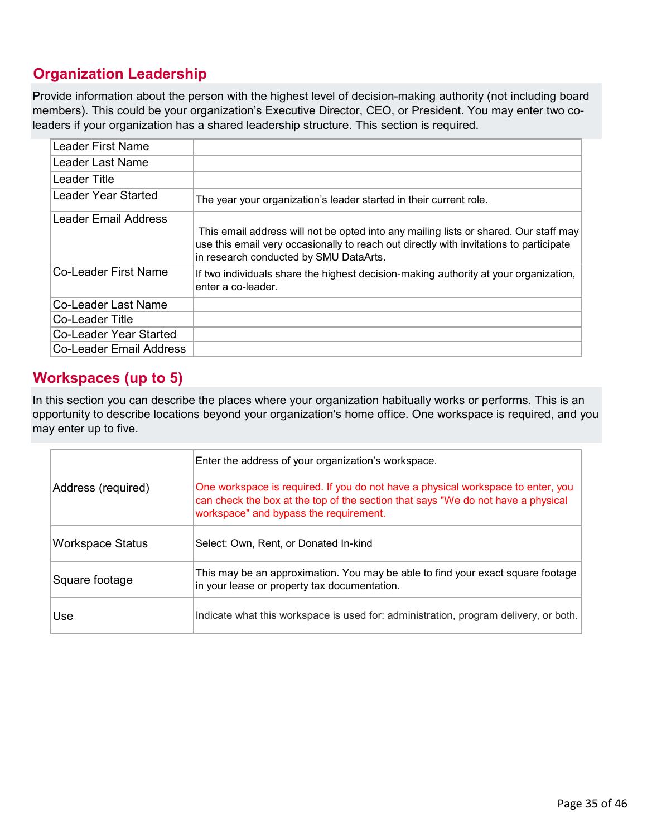# **Organization Leadership**

Provide information about the person with the highest level of decision-making authority (not including board members). This could be your organization's Executive Director, CEO, or President. You may enter two coleaders if your organization has a shared leadership structure. This section is required.

| Leader First Name       |                                                                                                                                                                                                                          |
|-------------------------|--------------------------------------------------------------------------------------------------------------------------------------------------------------------------------------------------------------------------|
| Leader Last Name        |                                                                                                                                                                                                                          |
| ∣Leader Title           |                                                                                                                                                                                                                          |
| Leader Year Started     | The year your organization's leader started in their current role.                                                                                                                                                       |
| ∣Leader Email Address   | This email address will not be opted into any mailing lists or shared. Our staff may<br>use this email very occasionally to reach out directly with invitations to participate<br>in research conducted by SMU DataArts. |
| Co-Leader First Name    | If two individuals share the highest decision-making authority at your organization,<br>enter a co-leader.                                                                                                               |
| Co-Leader Last Name     |                                                                                                                                                                                                                          |
| Co-Leader Title         |                                                                                                                                                                                                                          |
| Co-Leader Year Started  |                                                                                                                                                                                                                          |
| Co-Leader Email Address |                                                                                                                                                                                                                          |

# **Workspaces (up to 5)**

In this section you can describe the places where your organization habitually works or performs. This is an opportunity to describe locations beyond your organization's home office. One workspace is required, and you may enter up to five.

|                         | Enter the address of your organization's workspace.                                                                                                                                                            |
|-------------------------|----------------------------------------------------------------------------------------------------------------------------------------------------------------------------------------------------------------|
| Address (required)      | One workspace is required. If you do not have a physical workspace to enter, you<br>can check the box at the top of the section that says "We do not have a physical<br>workspace" and bypass the requirement. |
| <b>Workspace Status</b> | Select: Own, Rent, or Donated In-kind                                                                                                                                                                          |
| Square footage          | This may be an approximation. You may be able to find your exact square footage<br>in your lease or property tax documentation.                                                                                |
| Use                     | Indicate what this workspace is used for: administration, program delivery, or both.                                                                                                                           |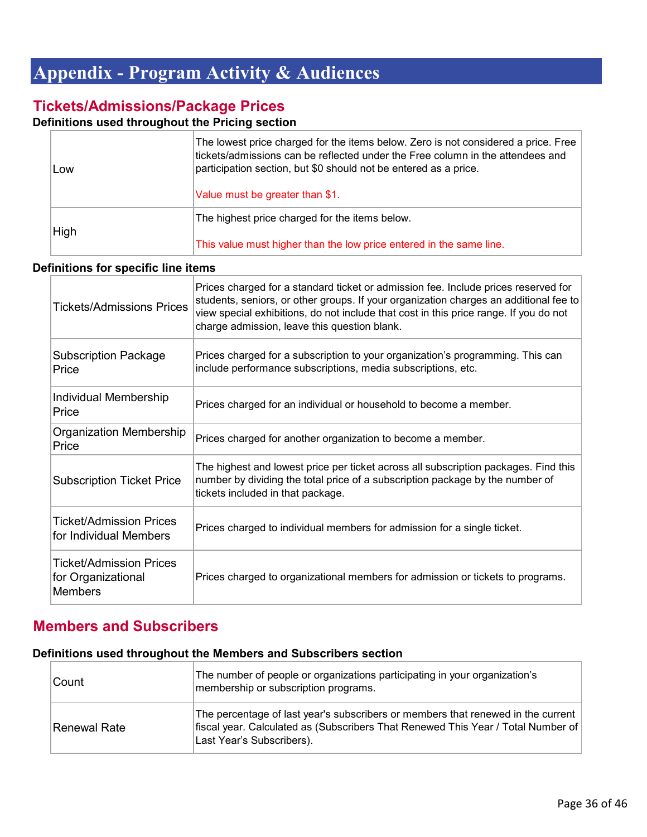# <span id="page-35-0"></span>**Appendix - Program Activity & Audiences**

# **Tickets/Admissions/Package Prices**

### **Definitions used throughout the Pricing section**

| Low  | The lowest price charged for the items below. Zero is not considered a price. Free<br>tickets/admissions can be reflected under the Free column in the attendees and<br>participation section, but \$0 should not be entered as a price.<br>Value must be greater than \$1. |
|------|-----------------------------------------------------------------------------------------------------------------------------------------------------------------------------------------------------------------------------------------------------------------------------|
| High | The highest price charged for the items below.<br>This value must higher than the low price entered in the same line.                                                                                                                                                       |

#### **Definitions for specific line items**

| <b>Tickets/Admissions Prices</b>                                | Prices charged for a standard ticket or admission fee. Include prices reserved for<br>students, seniors, or other groups. If your organization charges an additional fee to<br>view special exhibitions, do not include that cost in this price range. If you do not<br>charge admission, leave this question blank. |
|-----------------------------------------------------------------|----------------------------------------------------------------------------------------------------------------------------------------------------------------------------------------------------------------------------------------------------------------------------------------------------------------------|
| <b>Subscription Package</b><br>Price                            | Prices charged for a subscription to your organization's programming. This can<br>include performance subscriptions, media subscriptions, etc.                                                                                                                                                                       |
| Individual Membership<br>Price                                  | Prices charged for an individual or household to become a member.                                                                                                                                                                                                                                                    |
| Organization Membership<br>Price                                | Prices charged for another organization to become a member.                                                                                                                                                                                                                                                          |
| <b>Subscription Ticket Price</b>                                | The highest and lowest price per ticket across all subscription packages. Find this<br>number by dividing the total price of a subscription package by the number of<br>tickets included in that package.                                                                                                            |
| Ticket/Admission Prices<br>for Individual Members               | Prices charged to individual members for admission for a single ticket.                                                                                                                                                                                                                                              |
| Ticket/Admission Prices<br>for Organizational<br><b>Members</b> | Prices charged to organizational members for admission or tickets to programs.                                                                                                                                                                                                                                       |

# **Members and Subscribers**

### **Definitions used throughout the Members and Subscribers section**

| <b>Count</b>  | The number of people or organizations participating in your organization's<br>membership or subscription programs.                                                                                |
|---------------|---------------------------------------------------------------------------------------------------------------------------------------------------------------------------------------------------|
| ∣Renewal Rate | The percentage of last year's subscribers or members that renewed in the current<br>fiscal year. Calculated as (Subscribers That Renewed This Year / Total Number of<br>Last Year's Subscribers). |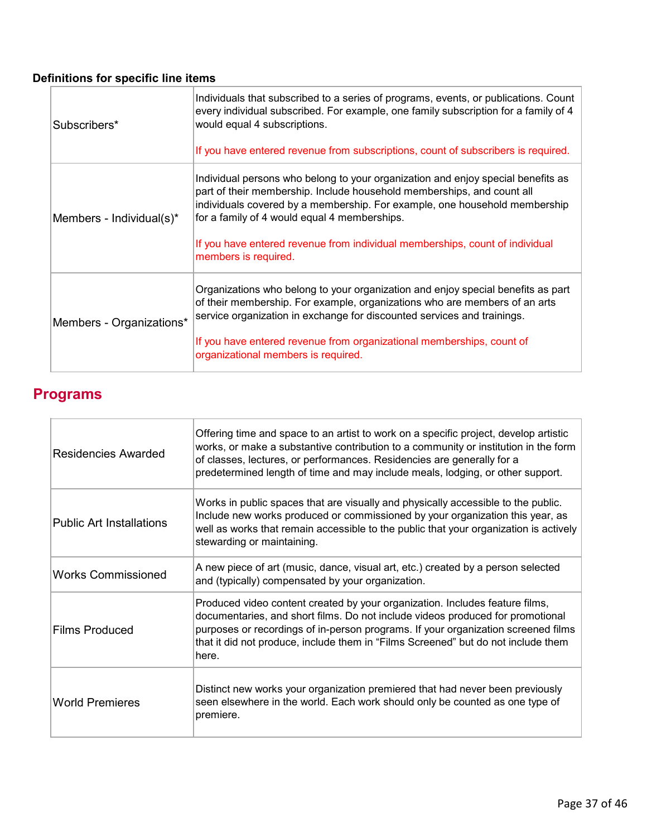# **Definitions for specific line items**

| Subscribers*             | Individuals that subscribed to a series of programs, events, or publications. Count<br>every individual subscribed. For example, one family subscription for a family of 4<br>would equal 4 subscriptions.                                                                                                                                                                                       |
|--------------------------|--------------------------------------------------------------------------------------------------------------------------------------------------------------------------------------------------------------------------------------------------------------------------------------------------------------------------------------------------------------------------------------------------|
|                          | If you have entered revenue from subscriptions, count of subscribers is required.                                                                                                                                                                                                                                                                                                                |
| Members - Individual(s)* | Individual persons who belong to your organization and enjoy special benefits as<br>part of their membership. Include household memberships, and count all<br>individuals covered by a membership. For example, one household membership<br>for a family of 4 would equal 4 memberships.<br>If you have entered revenue from individual memberships, count of individual<br>members is required. |
| Members - Organizations* | Organizations who belong to your organization and enjoy special benefits as part<br>of their membership. For example, organizations who are members of an arts<br>service organization in exchange for discounted services and trainings.<br>If you have entered revenue from organizational memberships, count of<br>organizational members is required.                                        |

# **Programs**

| <b>Residencies Awarded</b>      | Offering time and space to an artist to work on a specific project, develop artistic<br>works, or make a substantive contribution to a community or institution in the form<br>of classes, lectures, or performances. Residencies are generally for a<br>predetermined length of time and may include meals, lodging, or other support.           |
|---------------------------------|---------------------------------------------------------------------------------------------------------------------------------------------------------------------------------------------------------------------------------------------------------------------------------------------------------------------------------------------------|
| <b>Public Art Installations</b> | Works in public spaces that are visually and physically accessible to the public.<br>Include new works produced or commissioned by your organization this year, as<br>well as works that remain accessible to the public that your organization is actively<br>stewarding or maintaining.                                                         |
| <b>Works Commissioned</b>       | A new piece of art (music, dance, visual art, etc.) created by a person selected<br>and (typically) compensated by your organization.                                                                                                                                                                                                             |
| <b>Films Produced</b>           | Produced video content created by your organization. Includes feature films,<br>documentaries, and short films. Do not include videos produced for promotional<br>purposes or recordings of in-person programs. If your organization screened films<br>that it did not produce, include them in "Films Screened" but do not include them<br>here. |
| <b>World Premieres</b>          | Distinct new works your organization premiered that had never been previously<br>seen elsewhere in the world. Each work should only be counted as one type of<br>premiere.                                                                                                                                                                        |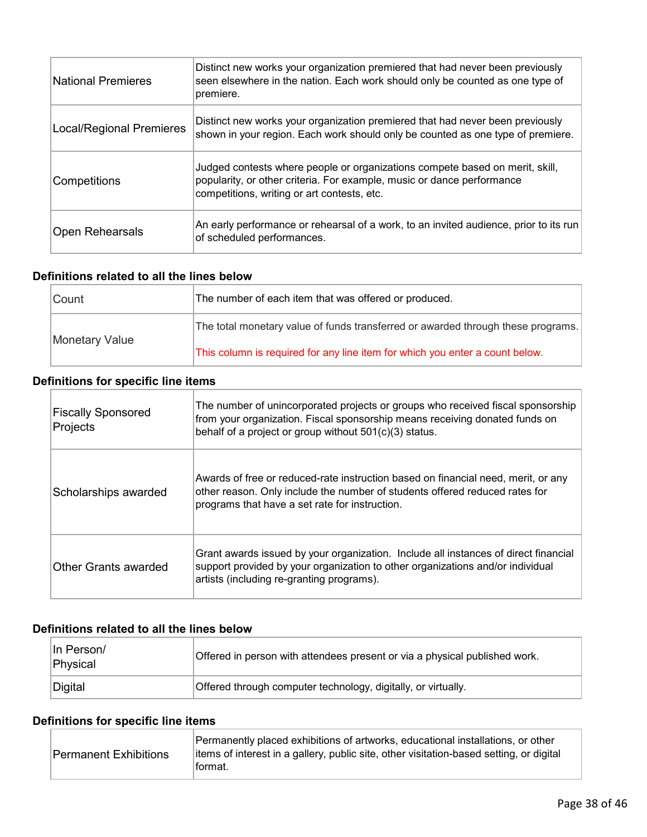| <b>National Premieres</b>       | Distinct new works your organization premiered that had never been previously<br>seen elsewhere in the nation. Each work should only be counted as one type of<br>premiere.                           |
|---------------------------------|-------------------------------------------------------------------------------------------------------------------------------------------------------------------------------------------------------|
| <b>Local/Regional Premieres</b> | Distinct new works your organization premiered that had never been previously<br>shown in your region. Each work should only be counted as one type of premiere.                                      |
| Competitions                    | Judged contests where people or organizations compete based on merit, skill,<br>popularity, or other criteria. For example, music or dance performance<br>competitions, writing or art contests, etc. |
| <b>Open Rehearsals</b>          | An early performance or rehearsal of a work, to an invited audience, prior to its run<br>of scheduled performances.                                                                                   |

#### **Definitions related to all the lines below**

| Count          | The number of each item that was offered or produced.                            |
|----------------|----------------------------------------------------------------------------------|
| Monetary Value | The total monetary value of funds transferred or awarded through these programs. |
|                | This column is required for any line item for which you enter a count below.     |

## **Definitions for specific line items**

| <b>Fiscally Sponsored</b><br>Projects | The number of unincorporated projects or groups who received fiscal sponsorship<br>from your organization. Fiscal sponsorship means receiving donated funds on<br>behalf of a project or group without 501(c)(3) status. |
|---------------------------------------|--------------------------------------------------------------------------------------------------------------------------------------------------------------------------------------------------------------------------|
| Scholarships awarded                  | Awards of free or reduced-rate instruction based on financial need, merit, or any<br>other reason. Only include the number of students offered reduced rates for<br>programs that have a set rate for instruction.       |
| Other Grants awarded                  | Grant awards issued by your organization. Include all instances of direct financial<br>support provided by your organization to other organizations and/or individual<br>artists (including re-granting programs).       |

#### **Definitions related to all the lines below**

| In Person/<br>Physical | Offered in person with attendees present or via a physical published work. |
|------------------------|----------------------------------------------------------------------------|
| Digital                | Offered through computer technology, digitally, or virtually.              |

#### **Definitions for specific line items**

| Permanent Exhibitions_ | Permanently placed exhibitions of artworks, educational installations, or other<br>litems of interest in a gallery, public site, other visitation-based setting, or digital<br><sup>∣</sup> format. |
|------------------------|-----------------------------------------------------------------------------------------------------------------------------------------------------------------------------------------------------|
|                        |                                                                                                                                                                                                     |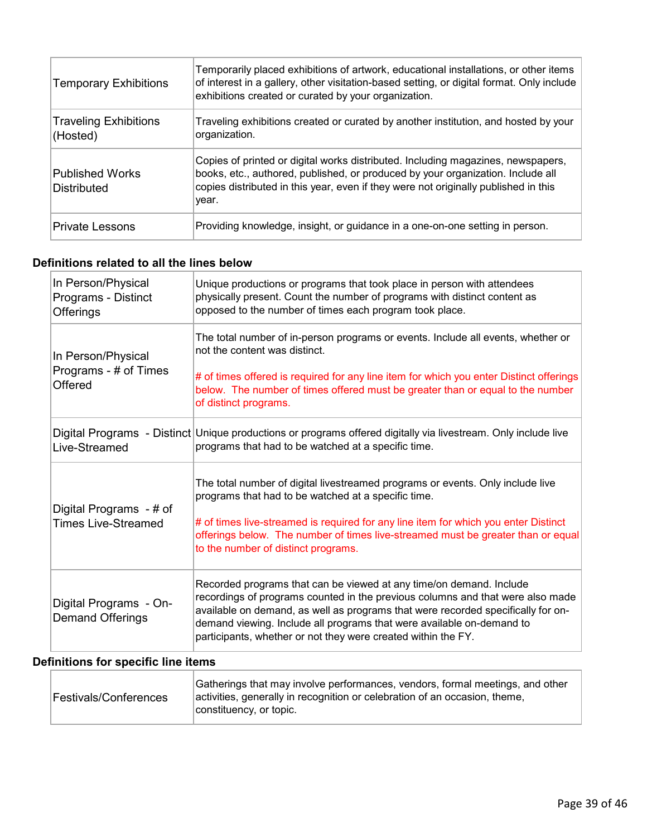| <b>Temporary Exhibitions</b>             | Temporarily placed exhibitions of artwork, educational installations, or other items<br>of interest in a gallery, other visitation-based setting, or digital format. Only include<br>exhibitions created or curated by your organization.                           |
|------------------------------------------|---------------------------------------------------------------------------------------------------------------------------------------------------------------------------------------------------------------------------------------------------------------------|
| <b>Traveling Exhibitions</b><br>(Hosted) | Traveling exhibitions created or curated by another institution, and hosted by your<br>organization.                                                                                                                                                                |
| <b>Published Works</b><br>Distributed    | Copies of printed or digital works distributed. Including magazines, newspapers,<br>books, etc., authored, published, or produced by your organization. Include all<br>copies distributed in this year, even if they were not originally published in this<br>year. |
| <b>Private Lessons</b>                   | Providing knowledge, insight, or guidance in a one-on-one setting in person.                                                                                                                                                                                        |

### **Definitions related to all the lines below**

| In Person/Physical<br>Programs - Distinct<br><b>Offerings</b> | Unique productions or programs that took place in person with attendees<br>physically present. Count the number of programs with distinct content as<br>opposed to the number of times each program took place.                                                                                                                                                                     |
|---------------------------------------------------------------|-------------------------------------------------------------------------------------------------------------------------------------------------------------------------------------------------------------------------------------------------------------------------------------------------------------------------------------------------------------------------------------|
| In Person/Physical<br>Programs - # of Times<br>Offered        | The total number of in-person programs or events. Include all events, whether or<br>not the content was distinct.<br># of times offered is required for any line item for which you enter Distinct offerings<br>below. The number of times offered must be greater than or equal to the number                                                                                      |
| Live-Streamed                                                 | of distinct programs.<br>Digital Programs - Distinct Unique productions or programs offered digitally via livestream. Only include live<br>programs that had to be watched at a specific time.                                                                                                                                                                                      |
| Digital Programs - # of<br><b>Times Live-Streamed</b>         | The total number of digital livestreamed programs or events. Only include live<br>programs that had to be watched at a specific time.<br># of times live-streamed is required for any line item for which you enter Distinct<br>offerings below. The number of times live-streamed must be greater than or equal<br>to the number of distinct programs.                             |
| Digital Programs - On-<br><b>Demand Offerings</b>             | Recorded programs that can be viewed at any time/on demand. Include<br>recordings of programs counted in the previous columns and that were also made<br>available on demand, as well as programs that were recorded specifically for on-<br>demand viewing. Include all programs that were available on-demand to<br>participants, whether or not they were created within the FY. |

# **Definitions for specific line items**

| Festivals/Conferences | Gatherings that may involve performances, vendors, formal meetings, and other<br>activities, generally in recognition or celebration of an occasion, theme,<br>constituency, or topic. |
|-----------------------|----------------------------------------------------------------------------------------------------------------------------------------------------------------------------------------|
|-----------------------|----------------------------------------------------------------------------------------------------------------------------------------------------------------------------------------|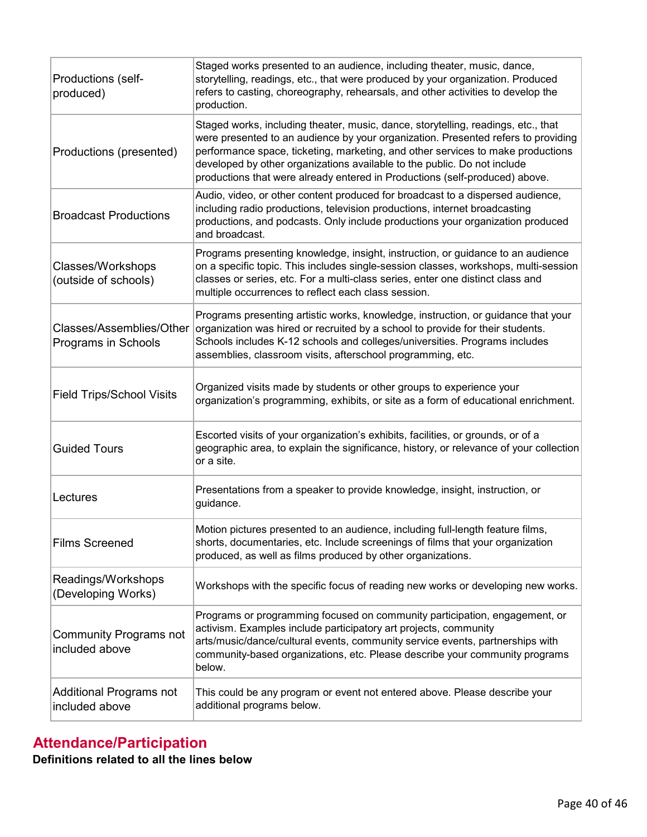| Productions (self-<br>produced)                 | Staged works presented to an audience, including theater, music, dance,<br>storytelling, readings, etc., that were produced by your organization. Produced<br>refers to casting, choreography, rehearsals, and other activities to develop the<br>production.                                                                                                                                                        |
|-------------------------------------------------|----------------------------------------------------------------------------------------------------------------------------------------------------------------------------------------------------------------------------------------------------------------------------------------------------------------------------------------------------------------------------------------------------------------------|
| Productions (presented)                         | Staged works, including theater, music, dance, storytelling, readings, etc., that<br>were presented to an audience by your organization. Presented refers to providing<br>performance space, ticketing, marketing, and other services to make productions<br>developed by other organizations available to the public. Do not include<br>productions that were already entered in Productions (self-produced) above. |
| <b>Broadcast Productions</b>                    | Audio, video, or other content produced for broadcast to a dispersed audience,<br>including radio productions, television productions, internet broadcasting<br>productions, and podcasts. Only include productions your organization produced<br>and broadcast.                                                                                                                                                     |
| Classes/Workshops<br>(outside of schools)       | Programs presenting knowledge, insight, instruction, or guidance to an audience<br>on a specific topic. This includes single-session classes, workshops, multi-session<br>classes or series, etc. For a multi-class series, enter one distinct class and<br>multiple occurrences to reflect each class session.                                                                                                      |
| Classes/Assemblies/Other<br>Programs in Schools | Programs presenting artistic works, knowledge, instruction, or guidance that your<br>organization was hired or recruited by a school to provide for their students.<br>Schools includes K-12 schools and colleges/universities. Programs includes<br>assemblies, classroom visits, afterschool programming, etc.                                                                                                     |
| <b>Field Trips/School Visits</b>                | Organized visits made by students or other groups to experience your<br>organization's programming, exhibits, or site as a form of educational enrichment.                                                                                                                                                                                                                                                           |
| <b>Guided Tours</b>                             | Escorted visits of your organization's exhibits, facilities, or grounds, or of a<br>geographic area, to explain the significance, history, or relevance of your collection<br>or a site.                                                                                                                                                                                                                             |
| Lectures                                        | Presentations from a speaker to provide knowledge, insight, instruction, or<br>guidance.                                                                                                                                                                                                                                                                                                                             |
| <b>Films Screened</b>                           | Motion pictures presented to an audience, including full-length feature films,<br>shorts, documentaries, etc. Include screenings of films that your organization<br>produced, as well as films produced by other organizations.                                                                                                                                                                                      |
| Readings/Workshops<br>(Developing Works)        | Workshops with the specific focus of reading new works or developing new works.                                                                                                                                                                                                                                                                                                                                      |
| <b>Community Programs not</b><br>included above | Programs or programming focused on community participation, engagement, or<br>activism. Examples include participatory art projects, community<br>arts/music/dance/cultural events, community service events, partnerships with<br>community-based organizations, etc. Please describe your community programs<br>below.                                                                                             |
| Additional Programs not<br>included above       | This could be any program or event not entered above. Please describe your<br>additional programs below.                                                                                                                                                                                                                                                                                                             |

# **Attendance/Participation Definitions related to all the lines below**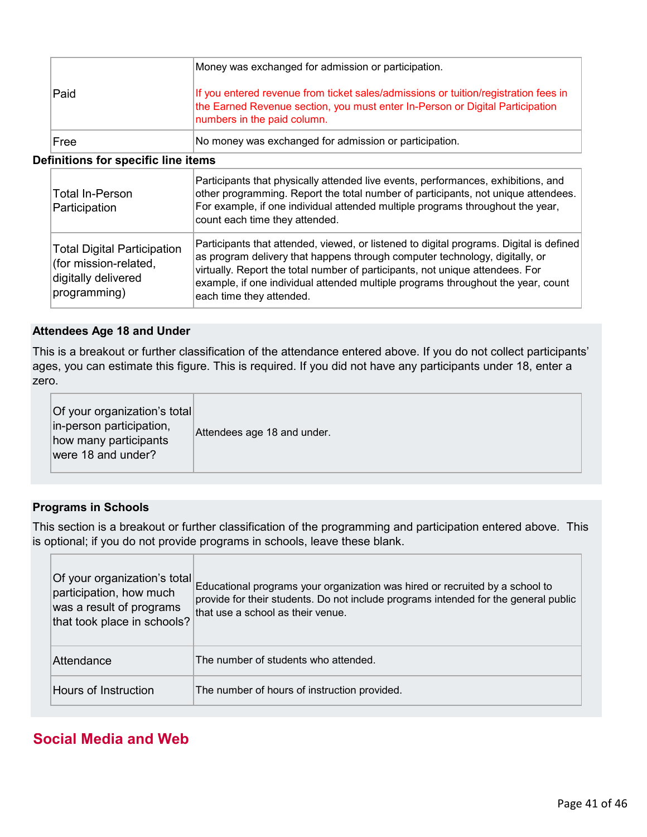|      | Money was exchanged for admission or participation.                                                                                                                                                 |
|------|-----------------------------------------------------------------------------------------------------------------------------------------------------------------------------------------------------|
| Paid | If you entered revenue from ticket sales/admissions or tuition/registration fees in<br>the Earned Revenue section, you must enter In-Person or Digital Participation<br>numbers in the paid column. |
| Free | No money was exchanged for admission or participation.                                                                                                                                              |

#### **Definitions for specific line items**

| <b>Total In-Person</b><br>Participation                                                            | Participants that physically attended live events, performances, exhibitions, and<br>other programming. Report the total number of participants, not unique attendees.<br>For example, if one individual attended multiple programs throughout the year,<br>count each time they attended.                                                                              |
|----------------------------------------------------------------------------------------------------|-------------------------------------------------------------------------------------------------------------------------------------------------------------------------------------------------------------------------------------------------------------------------------------------------------------------------------------------------------------------------|
| <b>Total Digital Participation</b><br>(for mission-related,<br>digitally delivered<br>programming) | Participants that attended, viewed, or listened to digital programs. Digital is defined<br>as program delivery that happens through computer technology, digitally, or<br>virtually. Report the total number of participants, not unique attendees. For<br>example, if one individual attended multiple programs throughout the year, count<br>each time they attended. |

#### **Attendees Age 18 and Under**

This is a breakout or further classification of the attendance entered above. If you do not collect participants' ages, you can estimate this figure. This is required. If you did not have any participants under 18, enter a zero.

| Of your organization's total<br>in-person participation,<br>how many participants<br>were 18 and under? |
|---------------------------------------------------------------------------------------------------------|
|---------------------------------------------------------------------------------------------------------|

#### **Programs in Schools**

This section is a breakout or further classification of the programming and participation entered above. This is optional; if you do not provide programs in schools, leave these blank.

| Of your organization's total<br>participation, how much<br>was a result of programs<br>that took place in schools? | Educational programs your organization was hired or recruited by a school to<br>provide for their students. Do not include programs intended for the general public<br>that use a school as their venue. |
|--------------------------------------------------------------------------------------------------------------------|----------------------------------------------------------------------------------------------------------------------------------------------------------------------------------------------------------|
| Attendance                                                                                                         | The number of students who attended.                                                                                                                                                                     |
| Hours of Instruction                                                                                               | The number of hours of instruction provided.                                                                                                                                                             |

# **Social Media and Web**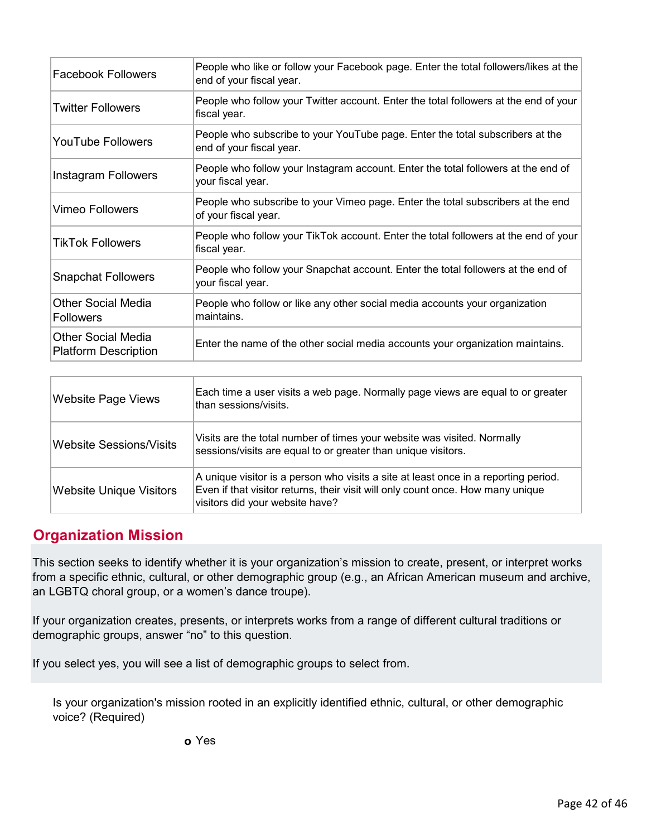| People who like or follow your Facebook page. Enter the total followers/likes at the<br>end of your fiscal year. |
|------------------------------------------------------------------------------------------------------------------|
| People who follow your Twitter account. Enter the total followers at the end of your<br>fiscal year.             |
| People who subscribe to your YouTube page. Enter the total subscribers at the<br>end of your fiscal year.        |
| People who follow your Instagram account. Enter the total followers at the end of<br>your fiscal year.           |
| People who subscribe to your Vimeo page. Enter the total subscribers at the end<br>of your fiscal year.          |
| People who follow your TikTok account. Enter the total followers at the end of your<br>fiscal year.              |
| People who follow your Snapchat account. Enter the total followers at the end of<br>your fiscal year.            |
| People who follow or like any other social media accounts your organization<br>maintains.                        |
| Enter the name of the other social media accounts your organization maintains.                                   |
|                                                                                                                  |

| <b>Website Page Views</b> | Each time a user visits a web page. Normally page views are equal to or greater<br>than sessions/visits.                                                                                                  |
|---------------------------|-----------------------------------------------------------------------------------------------------------------------------------------------------------------------------------------------------------|
| Website Sessions/Visits   | Visits are the total number of times your website was visited. Normally<br>sessions/visits are equal to or greater than unique visitors.                                                                  |
| Website Unique Visitors   | A unique visitor is a person who visits a site at least once in a reporting period.<br>Even if that visitor returns, their visit will only count once. How many unique<br>visitors did your website have? |

# **Organization Mission**

This section seeks to identify whether it is your organization's mission to create, present, or interpret works from a specific ethnic, cultural, or other demographic group (e.g., an African American museum and archive, an LGBTQ choral group, or a women's dance troupe).

If your organization creates, presents, or interprets works from a range of different cultural traditions or demographic groups, answer "no" to this question.

If you select yes, you will see a list of demographic groups to select from.

Is your organization's mission rooted in an explicitly identified ethnic, cultural, or other demographic voice? (Required)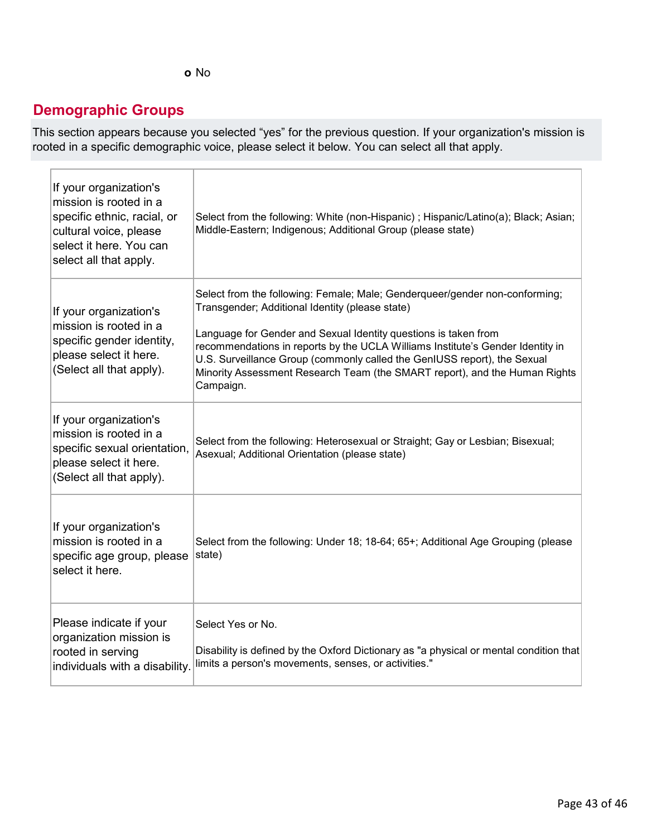# **Demographic Groups**

This section appears because you selected "yes" for the previous question. If your organization's mission is rooted in a specific demographic voice, please select it below. You can select all that apply.

| If your organization's<br>mission is rooted in a<br>specific ethnic, racial, or<br>cultural voice, please<br>select it here. You can<br>select all that apply. | Select from the following: White (non-Hispanic); Hispanic/Latino(a); Black; Asian;<br>Middle-Eastern; Indigenous; Additional Group (please state)                                                                                                                                                                                                                                                                                                          |
|----------------------------------------------------------------------------------------------------------------------------------------------------------------|------------------------------------------------------------------------------------------------------------------------------------------------------------------------------------------------------------------------------------------------------------------------------------------------------------------------------------------------------------------------------------------------------------------------------------------------------------|
| If your organization's<br>mission is rooted in a<br>specific gender identity,<br>please select it here.<br>(Select all that apply).                            | Select from the following: Female; Male; Genderqueer/gender non-conforming;<br>Transgender; Additional Identity (please state)<br>Language for Gender and Sexual Identity questions is taken from<br>recommendations in reports by the UCLA Williams Institute's Gender Identity in<br>U.S. Surveillance Group (commonly called the GenIUSS report), the Sexual<br>Minority Assessment Research Team (the SMART report), and the Human Rights<br>Campaign. |
| If your organization's<br>mission is rooted in a<br>specific sexual orientation,<br>please select it here.<br>(Select all that apply).                         | Select from the following: Heterosexual or Straight; Gay or Lesbian; Bisexual;<br>Asexual; Additional Orientation (please state)                                                                                                                                                                                                                                                                                                                           |
| If your organization's<br>mission is rooted in a<br>specific age group, please<br>select it here.                                                              | Select from the following: Under 18; 18-64; 65+; Additional Age Grouping (please<br>state)                                                                                                                                                                                                                                                                                                                                                                 |
| Please indicate if your<br>organization mission is<br>rooted in serving<br>individuals with a disability.                                                      | Select Yes or No.<br>Disability is defined by the Oxford Dictionary as "a physical or mental condition that<br>limits a person's movements, senses, or activities."                                                                                                                                                                                                                                                                                        |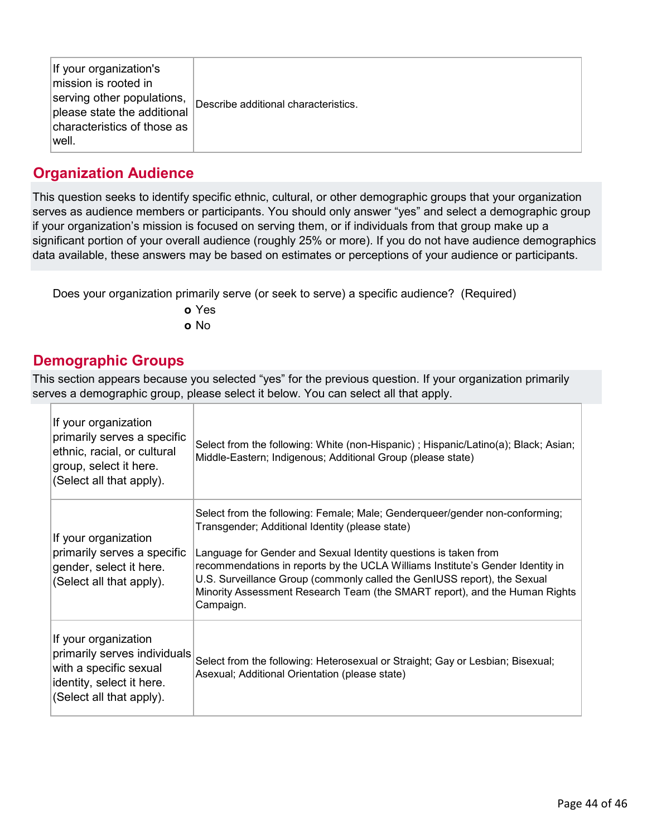| If your organization's<br>mission is rooted in<br>serving other populations,<br>please state the additional<br>characteristics of those as<br> well. | Describe additional characteristics. |
|------------------------------------------------------------------------------------------------------------------------------------------------------|--------------------------------------|
|------------------------------------------------------------------------------------------------------------------------------------------------------|--------------------------------------|

# **Organization Audience**

This question seeks to identify specific ethnic, cultural, or other demographic groups that your organization serves as audience members or participants. You should only answer "yes" and select a demographic group if your organization's mission is focused on serving them, or if individuals from that group make up a significant portion of your overall audience (roughly 25% or more). If you do not have audience demographics data available, these answers may be based on estimates or perceptions of your audience or participants.

Does your organization primarily serve (or seek to serve) a specific audience? (Required)

**o** Yes **o** No

# **Demographic Groups**

This section appears because you selected "yes" for the previous question. If your organization primarily serves a demographic group, please select it below. You can select all that apply.

| If your organization<br>primarily serves a specific<br>ethnic, racial, or cultural<br>group, select it here.<br>(Select all that apply). | Select from the following: White (non-Hispanic); Hispanic/Latino(a); Black; Asian;<br>Middle-Eastern; Indigenous; Additional Group (please state)                                                                                                                                                                                                                                                                                                          |
|------------------------------------------------------------------------------------------------------------------------------------------|------------------------------------------------------------------------------------------------------------------------------------------------------------------------------------------------------------------------------------------------------------------------------------------------------------------------------------------------------------------------------------------------------------------------------------------------------------|
| If your organization<br>primarily serves a specific<br>gender, select it here.<br>(Select all that apply).                               | Select from the following: Female; Male; Genderqueer/gender non-conforming;<br>Transgender; Additional Identity (please state)<br>Language for Gender and Sexual Identity questions is taken from<br>recommendations in reports by the UCLA Williams Institute's Gender Identity in<br>U.S. Surveillance Group (commonly called the GenIUSS report), the Sexual<br>Minority Assessment Research Team (the SMART report), and the Human Rights<br>Campaign. |
| If your organization<br>primarily serves individuals<br>with a specific sexual<br>identity, select it here.<br>(Select all that apply).  | Select from the following: Heterosexual or Straight; Gay or Lesbian; Bisexual;<br>Asexual; Additional Orientation (please state)                                                                                                                                                                                                                                                                                                                           |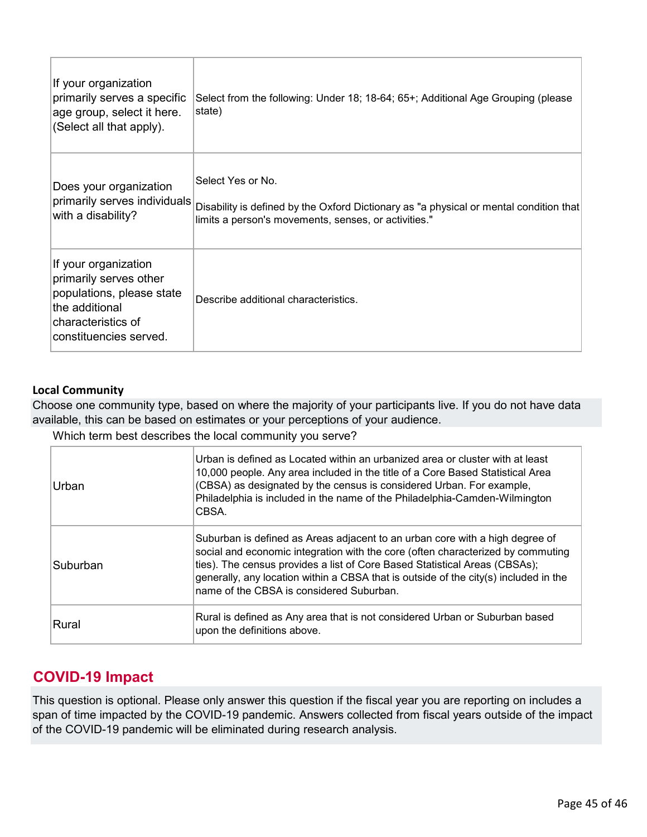| If your organization<br>primarily serves a specific<br>age group, select it here.<br>(Select all that apply).                                 | Select from the following: Under 18; 18-64; 65+; Additional Age Grouping (please<br>state)                                                                          |
|-----------------------------------------------------------------------------------------------------------------------------------------------|---------------------------------------------------------------------------------------------------------------------------------------------------------------------|
| Does your organization<br>primarily serves individuals<br>with a disability?                                                                  | Select Yes or No.<br>Disability is defined by the Oxford Dictionary as "a physical or mental condition that<br>limits a person's movements, senses, or activities." |
| If your organization<br>primarily serves other<br>populations, please state<br>the additional<br>characteristics of<br>constituencies served. | Describe additional characteristics.                                                                                                                                |

#### **Local Community**

Choose one community type, based on where the majority of your participants live. If you do not have data available, this can be based on estimates or your perceptions of your audience.

Which term best describes the local community you serve?

| Urban    | Urban is defined as Located within an urbanized area or cluster with at least<br>10,000 people. Any area included in the title of a Core Based Statistical Area<br>(CBSA) as designated by the census is considered Urban. For example,<br>Philadelphia is included in the name of the Philadelphia-Camden-Wilmington<br>CBSA.                                                    |
|----------|-----------------------------------------------------------------------------------------------------------------------------------------------------------------------------------------------------------------------------------------------------------------------------------------------------------------------------------------------------------------------------------|
| Suburban | Suburban is defined as Areas adjacent to an urban core with a high degree of<br>social and economic integration with the core (often characterized by commuting<br>ties). The census provides a list of Core Based Statistical Areas (CBSAs);<br>generally, any location within a CBSA that is outside of the city(s) included in the<br>name of the CBSA is considered Suburban. |
| Rural    | Rural is defined as Any area that is not considered Urban or Suburban based<br>upon the definitions above.                                                                                                                                                                                                                                                                        |

# **COVID-19 Impact**

This question is optional. Please only answer this question if the fiscal year you are reporting on includes a span of time impacted by the COVID-19 pandemic. Answers collected from fiscal years outside of the impact of the COVID-19 pandemic will be eliminated during research analysis.